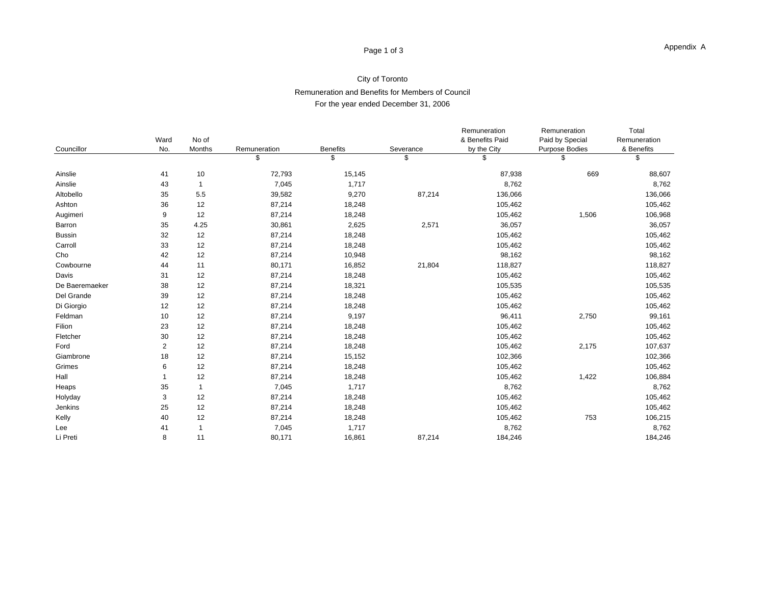#### Page 1 of 3 Page 1 of 3

# City of Toronto Remuneration and Benefits for Members of Council

### For the year ended December 31, 2006

|                |      |        |              |          |           | Remuneration    | Remuneration    | Total        |
|----------------|------|--------|--------------|----------|-----------|-----------------|-----------------|--------------|
|                | Ward | No of  |              |          |           | & Benefits Paid | Paid by Special | Remuneration |
| Councillor     | No.  | Months | Remuneration | Benefits | Severance | by the City     | Purpose Bodies  | & Benefits   |
|                |      |        |              |          |           |                 |                 |              |
| Ainslie        | 41   | 10     | 72,793       | 15,145   |           | 87,938          | 669             | 88,607       |
| Ainslie        | 43   |        | 7,045        | 1,717    |           | 8,762           |                 | 8,762        |
| Altobello      | 35   | 5.5    | 39,582       | 9,270    | 87,214    | 136,066         |                 | 136,066      |
| Ashton         | 36   | 12     | 87,214       | 18,248   |           | 105,462         |                 | 105,462      |
| Augimeri       |      | 12     | 87,214       | 18,248   |           | 105,462         | 1,506           | 106,968      |
| Barron         | 35   | 4.25   | 30,861       | 2,625    | 2,571     | 36,057          |                 | 36,057       |
| <b>Bussin</b>  | 32   | 12     | 87,214       | 18,248   |           | 105,462         |                 | 105,462      |
| Carroll        | 33   | 12     | 87,214       | 18,248   |           | 105,462         |                 | 105,462      |
| Cho            | 42   | 12     | 87,214       | 10,948   |           | 98,162          |                 | 98,162       |
| Cowbourne      | 44   | 11     | 80,171       | 16,852   | 21,804    | 118,827         |                 | 118,827      |
| Davis          | 31   | 12     | 87,214       | 18,248   |           | 105,462         |                 | 105,462      |
| De Baeremaeker | 38   | 12     | 87,214       | 18,321   |           | 105,535         |                 | 105,535      |
| Del Grande     | 39   | 12     | 87,214       | 18,248   |           | 105,462         |                 | 105,462      |
| Di Giorgio     | 12   | 12     | 87,214       | 18,248   |           | 105,462         |                 | 105,462      |
| Feldman        | 10   | 12     | 87,214       | 9,197    |           | 96,411          | 2,750           | 99,161       |
| Filion         | 23   | 12     | 87,214       | 18,248   |           | 105,462         |                 | 105,462      |
| Fletcher       | 30   | 12     | 87,214       | 18,248   |           | 105,462         |                 | 105,462      |
| Ford           |      | 12     | 87,214       | 18,248   |           | 105,462         | 2,175           | 107,637      |
| Giambrone      | 18   | 12     | 87,214       | 15,152   |           | 102,366         |                 | 102,366      |
| Grimes         |      | 12     | 87,214       | 18,248   |           | 105,462         |                 | 105,462      |
| Hall           |      | 12     | 87,214       | 18,248   |           | 105,462         | 1,422           | 106,884      |
| Heaps          |      |        | 7,045        | 1,717    |           | 8,762           |                 | 8,762        |
| Holyday        |      | 12     | 87,214       | 18,248   |           | 105,462         |                 | 105,462      |
| Jenkins        | 25   | 12     | 87,214       | 18,248   |           | 105,462         |                 | 105,462      |
| Kelly          | 40   | 12     | 87,214       | 18,248   |           | 105,462         | 753             | 106,215      |
| Lee            | 41   |        | 7,045        | 1,717    |           | 8,762           |                 | 8,762        |
| Li Preti       |      | 44     | 80,171       | 16,861   | 87,214    | 184,246         |                 | 184,246      |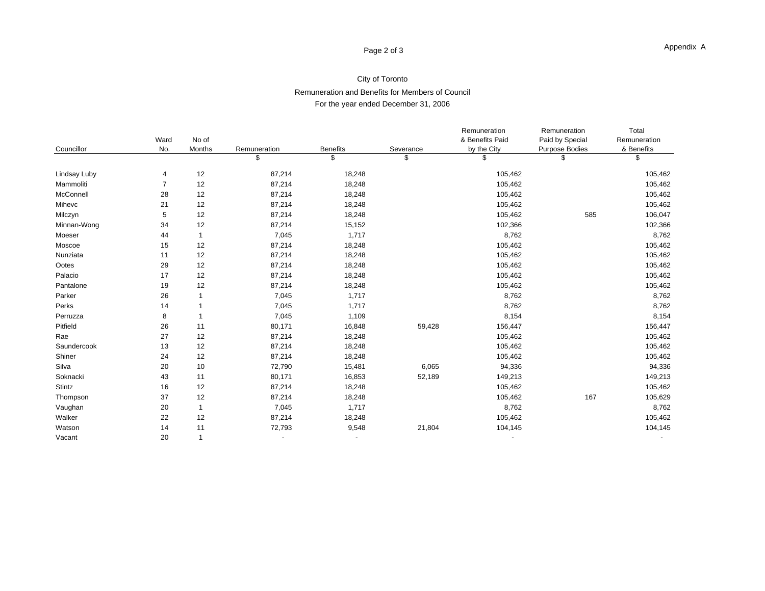#### Page 2 of 3 Page 2 of 3

### City of Toronto Remuneration and Benefits for Members of Council

### For the year ended December 31, 2006

|              | Ward           | No of           |              |                 |           | Remuneration<br>& Benefits Paid | Remuneration<br>Paid by Special | Total<br>Remuneration |
|--------------|----------------|-----------------|--------------|-----------------|-----------|---------------------------------|---------------------------------|-----------------------|
|              | No.            | Months          | Remuneration | <b>Benefits</b> | Severance | by the City                     | Purpose Bodies                  | & Benefits            |
| Councillor   |                |                 |              |                 |           |                                 |                                 |                       |
|              |                |                 |              |                 |           |                                 |                                 |                       |
| Lindsay Luby | $\overline{4}$ | 12              | 87,214       | 18,248          |           | 105,462                         |                                 | 105,462               |
| Mammoliti    |                | 12              | 87,214       | 18,248          |           | 105,462                         |                                 | 105,462               |
| McConnell    | 28             | 12              | 87,214       | 18,248          |           | 105,462                         |                                 | 105,462               |
| Mihevc       | 21             | 12              | 87,214       | 18,248          |           | 105,462                         |                                 | 105,462               |
| Milczyn      |                | 12              | 87,214       | 18,248          |           | 105,462                         | 585                             | 106,047               |
| Minnan-Wong  | 34             | 12              | 87,214       | 15,152          |           | 102,366                         |                                 | 102,366               |
| Moeser       | 44             |                 | 7,045        | 1,717           |           | 8,762                           |                                 | 8,762                 |
| Moscoe       | 15             | 12              | 87,214       | 18,248          |           | 105,462                         |                                 | 105,462               |
| Nunziata     | 11             | 12              | 87,214       | 18,248          |           | 105,462                         |                                 | 105,462               |
| Ootes        | 29             | 12              | 87,214       | 18,248          |           | 105,462                         |                                 | 105,462               |
| Palacio      | 17             | 12              | 87,214       | 18,248          |           | 105,462                         |                                 | 105,462               |
| Pantalone    | 19             | 12              | 87,214       | 18,248          |           | 105,462                         |                                 | 105,462               |
| Parker       | 26             |                 | 7,045        | 1,717           |           | 8,762                           |                                 | 8,762                 |
| Perks        | 14             |                 | 7,045        | 1,717           |           | 8,762                           |                                 | 8,762                 |
| Perruzza     |                |                 | 7,045        | 1,109           |           | 8,154                           |                                 | 8,154                 |
| Pitfield     | 26             | 11              | 80,171       | 16,848          | 59,428    | 156,447                         |                                 | 156,447               |
| Rae          | 27             | 12              | 87,214       | 18,248          |           | 105,462                         |                                 | 105,462               |
| Saundercook  | 13             | 12              | 87,214       | 18,248          |           | 105,462                         |                                 | 105,462               |
| Shiner       | 24             | 12              | 87,214       | 18,248          |           | 105,462                         |                                 | 105,462               |
| Silva        | 20             | 10 <sup>1</sup> | 72,790       | 15,481          | 6,065     | 94,336                          |                                 | 94,336                |
| Soknacki     | 43             | 11              | 80,171       | 16,853          | 52,189    | 149,213                         |                                 | 149,213               |
| Stintz       | 16             | 12              | 87,214       | 18,248          |           | 105,462                         |                                 | 105,462               |
| Thompson     | 37             | 12              | 87,214       | 18,248          |           | 105,462                         | 167                             | 105,629               |
| Vaughan      | 20             |                 | 7,045        | 1,717           |           | 8,762                           |                                 | 8,762                 |
| Walker       | 22             | 12              | 87,214       | 18,248          |           | 105,462                         |                                 | 105,462               |
|              | 14             |                 | 72,793       | 9,548           | 21,804    | 104,145                         |                                 |                       |
| Watson       |                |                 |              |                 |           |                                 |                                 | 104,145               |
| Vacant       | 20             |                 | $\sim$ $-$   | $\sim 10^{-10}$ |           | <b>Contract Contract</b>        |                                 | <b>Contractor</b>     |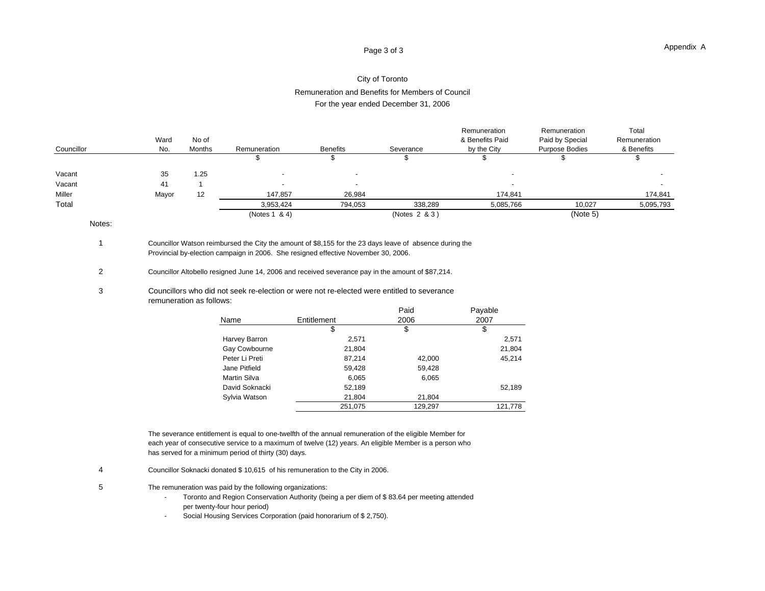#### Page 3 of 3 and 2 of 3 and 2 of 3 and 2 of 3 and 2 of 3 and 2 of 3 and 2 of 3 and 2 of 3 and 2 of 3 and 2 of 3 and 2 of 3 and 2 of 3 and 2 of 3 and 2 of 3 and 2 of 3 and 2 of 3 and 2 of 3 and 2 of 3 and 2 of 3 and 2 of 3 a

# City of Toronto

Remuneration and Benefits for Members of Council

For the year ended December 31, 2006

|            |       |            |                    |          |               |                 | Remuneration    | Total        |
|------------|-------|------------|--------------------|----------|---------------|-----------------|-----------------|--------------|
|            |       | No of      |                    |          |               | & Benefits Paid | Paid by Special | Remuneration |
| Councillor |       | No. Months | Remuneration       | Benefits | Severance     | by the City     | Purpose Bodies  | & Benefits   |
|            |       |            |                    |          |               |                 |                 |              |
| Vacant     |       | 35 1.25    |                    |          |               |                 |                 |              |
| Vacant     | 41 -  |            |                    |          |               |                 |                 |              |
| Miller     | Mayor | 12         | 147,857            |          |               | 174841          |                 | 174,841      |
| Total      |       |            | 3,953,424          | 794.053  | 338,289       | 5.085.766       | 10,027          | 5,095,793    |
|            |       |            | $N = 1$ $\alpha$ 4 |          | (Notes 2 & 3) |                 | (Mote 5)        |              |

notes: when the contract of the contract of the contract of the contract of the contract of the contract of the contract of the contract of the contract of the contract of the contract of the contract of the contract of th

1 Councillor Watson reimbursed the City the amount of \$8,155 for the 23 days leave of absence during the Provincial by-election campaign in 2006. She resigned effective November 30, 2006.

2 Councillor Altobello resigned June 14, 2006 and received severance pay in the amount of \$87,214.

# 3 Councillors who did not seek re-election or were not re-elected were entitled to severance remuneration as follows:<br>
Parable

|             | Paid                                | Payable                           |
|-------------|-------------------------------------|-----------------------------------|
| Entitlement |                                     | 2007                              |
|             |                                     |                                   |
| 2,571       |                                     | 2,571                             |
|             |                                     | 21,804<br>45,214                  |
| 87,214      |                                     |                                   |
|             |                                     |                                   |
|             |                                     |                                   |
|             |                                     | 52,189                            |
| 21,804      | 21,804                              |                                   |
| 251,075     | 129,297                             | 121,778                           |
|             | 21,804<br>59,428<br>6,065<br>52,189 | 2006<br>42,000<br>59,428<br>6,065 |

The severance entitlement is equal to one-twelfth of the annual remuneration of the eligible Member for each year of consecutive service to a maximum of twelve (12) years. An eligible Member is a person who has served for a minimum period of thirty (30) days.

- 4 Councillor Soknacki donated \$ 10,615 of his remuneration to the City in 2006.
- 5 The remuneration was paid by the following organizations:
	- Toronto and Region Conservation Authority (being a per diem of \$ 83.64 per meeting attended per twenty-four hour period)
	- Social Housing Services Corporation (paid honorarium of \$ 2,750).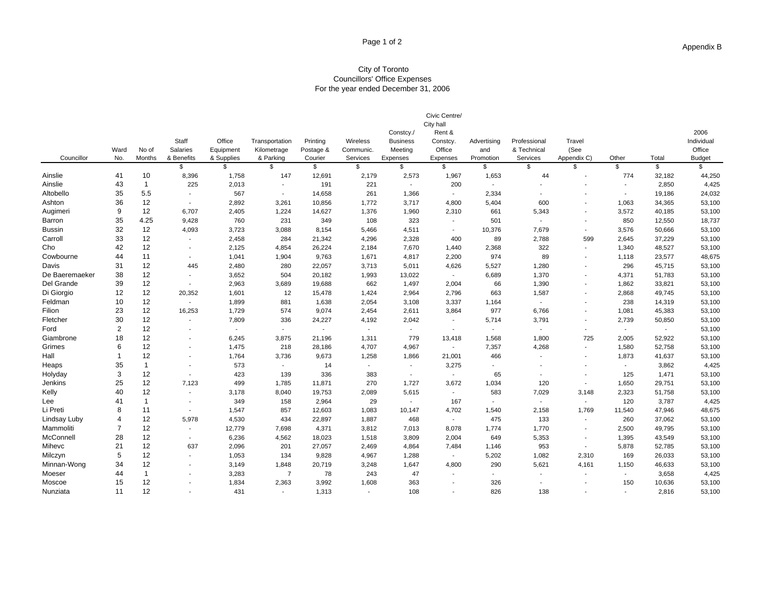#### City of Toronto Councillors' Office Expenses For the year ended December 31, 2006

|                |                 |                        |            |                          |           |           |          | Civic Centre/     |             |              |             |        |        |            |
|----------------|-----------------|------------------------|------------|--------------------------|-----------|-----------|----------|-------------------|-------------|--------------|-------------|--------|--------|------------|
|                |                 |                        |            |                          |           |           |          | City hall         |             |              |             |        |        |            |
|                |                 |                        |            |                          |           |           | Constcy. | Rent &            |             |              |             |        |        | 2006       |
|                |                 | Staff                  | Office     | Transportation           | Printing  | Wireless  | Business | Constcy.          | Advertising | Professional | Travel      |        |        | Individual |
|                | Ward No of      | Salaries               | Equipment  | Kilometrage              | Postage & | Communic. | Meeting  | Office            | and         | & Technical  | (See        |        |        | Office     |
| Councillor     | No. Months      | & Benefits             | & Supplies | & Parking                | Courier   | Services  | Expenses | Expenses          | Promotion   | Services     | Appendix C) | Other  | Total  | Budget     |
|                |                 |                        |            | 147                      |           |           |          |                   |             |              |             |        |        |            |
| Ainslie        | 41              | 10<br>8,396            | 1,758      |                          | 12,691    | 2,179     | 2,573    | 1.967             | 1,653       | 44           |             | 774    | 32,182 | 44,250     |
| Ainslie        | 43              | 225                    | 2,013      | <b>Contract Contract</b> | 191       | 221       |          | 200               |             |              |             |        | 2,850  | 4,425      |
| Altobello      | 35              | 5.5                    | 567        |                          | 14,658    | 261       | 1,366    |                   | 2,334       |              |             |        | 19,186 | 24,032     |
| Ashton         | 36              | 12<br><b>Contract</b>  | 2,892      | 3,261                    | 10,856    | 1,772     | 3.717    | 4,800             | 5.404       | 600          |             | 1,063  | 34,365 | 53,100     |
| Augimeri       | 9               | 12<br>6,707            | 2,405      | 1,224                    | 14,627    | 1,376     | 1,960    |                   | 661         | 5.343        |             | 3,572  | 40,185 | 53,100     |
| Barron         | 35              | 4.25<br>9,428          | 760        | 231                      | 349       | 108       | 323      |                   | 501         |              |             | 850    | 12,550 | 18,737     |
| <b>Bussin</b>  | 32              | 12<br>4,093            | 3,723      | 3,088                    | 8,154     | 5,466     | 4,511    | $\sim$ 100 $\sim$ | 10,376      | 7,679        |             | 3,576  | 50,666 | 53,100     |
| Carroll        | 33              | 12<br>$\sim 100$       | 2,458      | 284                      | 21,342    | 4,296     | 2,328    | 400               | 89          | 2,788        | 599         | 2,645  | 37,229 | 53,100     |
| Cho            | 42              | 12<br>$\sim$ 100 $\pm$ | 2,125      | 4,854                    | 26,224    | 2,184     | 7,670    | 1,440             | 2,368       | 322          |             | 1,340  | 48,527 | 53,100     |
| Cowbourne      | 44              | 11<br>$\sim 100$       | 1,041      | 1,904                    | 9,763     | 1,671     | 4,817    | 2,200             | 974         | 89           | $\sim$      | 1,118  | 23,577 | 48,675     |
| Davis          | 31              | 12<br>445              | 2,480      | 280                      | 22,057    | 3,713     | 5,011    | 4,626             | 5,527       | 1,280        |             | 296    | 45,715 | 53,100     |
| De Baeremaeker | 38              | 12<br>$\sim$ $-$       | 3,652      | 504                      | 20,182    | 1,993     | 13,022   |                   | 6,689       | 1,370        |             | 4,371  | 51,783 | 53,100     |
| Del Grande     | 39              | 12<br>$\sim$ $-$       | 2,963      | 3,689                    | 19,688    | 662       | 1,497    | 2,004             | 66          | 1,390        |             | 1,862  | 33,821 | 53,100     |
| Di Giorgio     | 12              | 12<br>20,352           | 1,601      | 12                       | 15,478    | 1,424     | 2,964    | 2,796             | 663         | 1,587        |             | 2,868  | 49,745 | 53,100     |
| Feldman        | 10              | 12<br>$\sim 100$       | 1,899      | 881                      | 1,638     | 2,054     | 3,108    | 3,337             | 1,164       |              |             | 238    | 14,319 | 53,100     |
| Filion         | 23              | 12<br>16,253           | 1,729      | 574                      | 9,074     | 2,454     | 2,611    | 3,864             | 977         | 6,766        |             | 1,081  | 45,383 | 53,100     |
| Fletcher       | 30 <sup>2</sup> | 12<br>$\sim$ $ \sim$   | 7,809      | 336                      | 24,227    | 4,192     | 2,042    |                   | 5,714       | 3,791        | $\sim$      | 2,739  | 50,850 | 53,100     |
| Ford           | $\overline{2}$  | 12                     |            |                          |           |           |          |                   |             |              |             |        |        | 53,100     |
| Giambrone      | 18              | 12<br>$\sim$ $ \sim$   | 6,245      | 3,875                    | 21,196    | 1,311     | 779      | 13.418            | 1,568       | 1,800        | 725         | 2,005  | 52,922 | 53,100     |
| Grimes         | 6               | 12<br>$\sim$ $-$       | 1,475      | 218                      | 28,186    | 4,707     | 4,967    |                   | 7,357       | 4,268        |             | 1,580  | 52,758 | 53,100     |
| Hall           | $\overline{1}$  | 12                     |            | 3,736                    | 9,673     |           | 1,866    | 21.001            | 466         |              |             | 1,873  | 41,637 | 53,100     |
|                | 35              | $\sim$ $ \sim$         | 1,764      |                          |           | 1,258     |          |                   |             |              |             |        |        |            |
| Heaps          | $\mathbf{3}$    | $\sim$ $-$             | 573        |                          |           |           |          | 3,275             |             |              |             |        | 3,862  | 4,425      |
| Holyday        |                 | 12<br><b>Contract</b>  | 423        | 139                      | 336       | 383       |          |                   | 65          |              |             | 125    | 1,471  | 53,100     |
| Jenkins        | 25              | 12<br>7,123            | 499        | 1,785                    | 11,871    | 270       | 1,727    | 3,672             | 1,034       | 120          |             | 1,650  | 29,751 | 53,100     |
| Kelly          | 40              | 12<br>$\sim 100$       | 3,178      | 8,040                    | 19,753    | 2,089     | 5,615    |                   | 583         | 7,029        | 3,148       | 2,323  | 51,758 | 53,100     |
| Lee            | 41              | $\sim$ $-$             | 349        | 158                      | 2,964     | -29       |          | 167               |             |              |             | 120    | 3,787  | 4,425      |
| Li Preti       | 8               | 11<br>$\sim 100$       | 1,547      | 857                      | 12,603    | 1,083     | 10.147   | 4,702             | 1,540       | 2,158        | 1,769       | 11,540 | 47,946 | 48,675     |
| Lindsay Luby   | 4               | 12<br>5,978            | 4,530      | 434                      | 22,897    | 1,887     | 468      |                   | 475         | 133          |             | 260    | 37,062 | 53,100     |
| Mammoliti      |                 | 12<br>$\sim 100$       | 12,779     | 7,698                    | 4,371     | 3,812     | 7,013    | 8,078             | 1,774       | 1,770        | $\sim$ $-$  | 2,500  | 49,795 | 53,100     |
| McConnell      | 28              | 12<br>$\sim$ $ \sim$   | 6,236      | 4,562                    | 18,023    | 1,518     | 3,809    | 2,004             | 649         | 5,353        |             | 1,395  | 43,549 | 53,100     |
| Mihevc         | 21              | 12<br>637              | 2,096      | 201                      | 27,057    | 2,469     | 4,864    | 7,484             | 1,146       | 953          | $\sim$ $-$  | 5,878  | 52,785 | 53,100     |
| Milczyn        | 5               | 12<br>$\sim$ $-$       | 1,053      | 134                      | 9,828     | 4,967     | 1,288    |                   | 5,202       | 1,082        | 2,310       | 169    | 26,033 | 53,100     |
| Minnan-Wong    | 34              | 12<br>$\sim$ $ \sim$   | 3,149      | 1,848                    | 20,719    | 3,248     | 1,647    | 4,800             | 290         | 5,621        | 4,161       | 1,150  | 46,633 | 53,100     |
| Moeser         | 44              | $\sim$                 | 3,283      |                          |           | 243       | 47       |                   |             |              |             |        | 3,658  | 4,425      |
| Moscoe         | 15              | 12                     | 1,834      | 2,363                    | 3,992     | 1,608     | 363      |                   | 326         |              |             | 150    | 10,636 | 53,100     |
| Nunziata       | 11              | 12                     | 431        |                          | 1,313     |           | 108      |                   | 826         | 138          |             |        | 2,816  | 53,100     |
|                |                 |                        |            |                          |           |           |          |                   |             |              |             |        |        |            |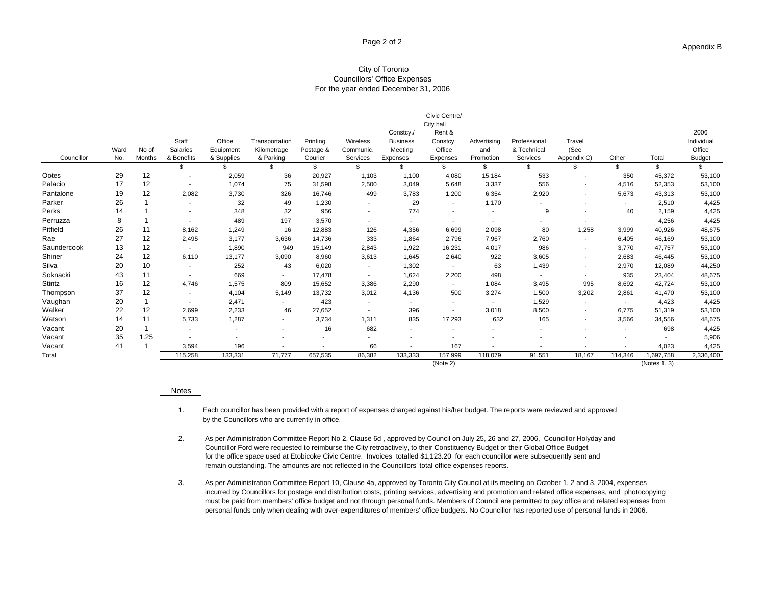#### City of Toronto Councillors' Office Expenses For the year ended December 31, 2006

|                 |            |            |                      |            |             |         |          |                 | Civic Centre/ |                                          |                                             |                                |                    |              |               |
|-----------------|------------|------------|----------------------|------------|-------------|---------|----------|-----------------|---------------|------------------------------------------|---------------------------------------------|--------------------------------|--------------------|--------------|---------------|
|                 |            |            |                      |            |             |         |          |                 | City hall     |                                          |                                             |                                |                    |              |               |
|                 |            |            |                      |            |             |         |          | Constcy./       | Rent &        |                                          |                                             |                                |                    |              | 2006          |
|                 |            |            | Staf                 |            |             |         |          | <b>Business</b> | Constcy.      |                                          |                                             |                                |                    |              | Individual    |
|                 | Ward No of |            |                      |            | Kilometrage |         | Communic | Meeting         | Office        | and                                      | & Technica                                  | (See                           |                    |              | Office        |
| Councillor      |            | No. Months | & Benefits           | & Supplies | & Parkino   | Courier | Services | Expenses        | Expenses      | Promotion                                | Services                                    | Appendix C)                    | Other              | Total        | <b>Budget</b> |
|                 |            |            |                      |            |             |         |          |                 |               |                                          |                                             |                                |                    |              |               |
| Ootes           | 29         |            |                      | 2,059      |             | 20,927  | 1,103    | 1,100           | 4,080         | 15,184                                   | 533                                         |                                | 350                | 45,372       | 53,100        |
| Palacio         | 17         |            |                      | 1,074      |             |         | 2,500    | 3,049           | 5,648         | 3,337                                    | 556                                         |                                | 4,516              | 52,353       | 53,100        |
| Pantalone       | 19         |            | 2,082                | 3,730      | 326         | 16,746  | 499      | 3,783           | 1,200         | 6,354                                    | 2,920                                       |                                | 5,673              | 43,313       | 53,100        |
| Parker          | 26         |            |                      |            |             | 1,230   |          |                 |               | 1,170                                    |                                             |                                |                    | 2,510        | 4,425         |
| Perks           | 14         |            |                      | 348        |             | 956     |          |                 |               |                                          |                                             |                                |                    |              | 4,425         |
| Perruzza        |            |            |                      | 489        |             |         |          |                 |               |                                          |                                             |                                |                    | 4,256        | 4,425         |
| Pitfield        | 26         |            | 8,162                | 1,249      |             | 12,883  | 126      | 4,356           |               | 2,098                                    |                                             | 1,258                          | 3,999              | 40,926       | 48,675        |
| Rae             | 27         | 12         | 2,495                | 3,177      | 3,636       | 14,736  | 333      | 1,864           | 2,796         | 7,967                                    | 2,760                                       |                                | 6,405              | 46,169       | 53,100        |
| Saundercook     | 13         | 12         |                      | 1,890      | 949         | 15,149  | 2,843    | 1,922           | 16,231        | 4,017                                    |                                             |                                | 3,770              | 47,757       | 53,100        |
| Shiner          | 24         | 12         | 6,110                | 13,177     | 3,090       | 8,960   | 3,613    | 1,645           | 2,640         | 922                                      | 3,605                                       |                                | 2,683              | 46,445       | 53,100        |
| Silva           | 20         | 10         |                      | 252        |             | 6,020   |          | 1,302           |               | 63                                       | 1,439                                       |                                | 2,970              | 12,089       | 44,250        |
| Soknacki        | 43         |            |                      | 669        |             | 17,478  |          | 1,624           | 2,200         | 498                                      |                                             |                                | 935                | 23,404       | 48,675        |
| Stintz          | 16         | 12         | 4,746                | 1,575      | 809         |         | 3,386    | 2,290           |               | 1,084                                    | 3,495                                       | 995                            | 8,692              | 42,724       | 53,100        |
| Thompson        | 37         | 12         | $\sim$ 100 $\sim$    | 4,104      | 5,149       | 13,732  | 3,012    | 4,136           | 500           | 3,274                                    | 1,500                                       | 3,202                          | 2,861              | 41,470       | 53,100        |
| Vaughan         | 20         |            |                      | 2.471      |             | 423     |          |                 |               |                                          | 1,529                                       |                                |                    | 4,423        | 4,425         |
| Walker          | 22         |            | 2,699                | 2,233      |             |         |          |                 |               | 3.018                                    |                                             |                                | 6,775              |              | 53,100        |
| Watson          | 14         |            | 5,733                | 1.287      |             |         |          |                 |               | 632                                      |                                             |                                | 3,566              | 34,556       | 48,675        |
| Vacant          | 20         |            |                      |            |             |         |          |                 |               |                                          |                                             |                                |                    | 698          | 4,425         |
| Vacant          | 35 1.25    |            |                      |            |             |         |          |                 |               |                                          |                                             |                                |                    |              | 5,906         |
|                 | 41         |            | 3,594                | 196        |             |         |          |                 | 167           |                                          |                                             |                                |                    | 4,023        | 4,425         |
| Vacant<br>Total |            |            |                      | 133.331    | 71.777      | 657.535 | 86.382   | 133,333         | 157,999       | and the state of the state of<br>118.079 | <b>Contract Contract Contract</b><br>91.551 | and the state of the<br>18.167 | 114,346  1,697,758 |              | 2,336,400     |
|                 |            |            | $\overline{115,258}$ |            |             |         |          |                 | (Note 2)      |                                          |                                             |                                |                    | (Notes 1, 3) |               |
|                 |            |            |                      |            |             |         |          |                 |               |                                          |                                             |                                |                    |              |               |

#### notes and the contract of the contract of the contract of the contract of the contract of the contract of the contract of the contract of the contract of the contract of the contract of the contract of the contract of the

1. Each councillor has been provided with a report of expenses charged against his/her budget. The reports were reviewed and approved by the Councillors who are currently in office.

2. As per Administration Committee Report No 2, Clause 6d , approved by Council on July 25, 26 and 27, 2006, Councillor Holyday and Councillor Ford were requested to reimburse the City retroactively, to their Constituency Budget or their Global Office Budget for the office space used at Etobicoke Civic Centre. Invoices totalled \$1,123.20 for each councillor were subsequently sent and remain outstanding. The amounts are not reflected in the Councillors' total office expenses reports.

3. As per Administration Committee Report 10, Clause 4a, approved by Toronto City Council at its meeting on October 1, 2 and 3, 2004, expenses incurred by Councillors for postage and distribution costs, printing services, advertising and promotion and related office expenses, and photocopying must be paid from members' office budget and not through personal funds. Members of Council are permitted to pay office and related expenses from personal funds only when dealing with over-expenditures of members' office budgets. No Councillor has reported use of personal funds in 2006.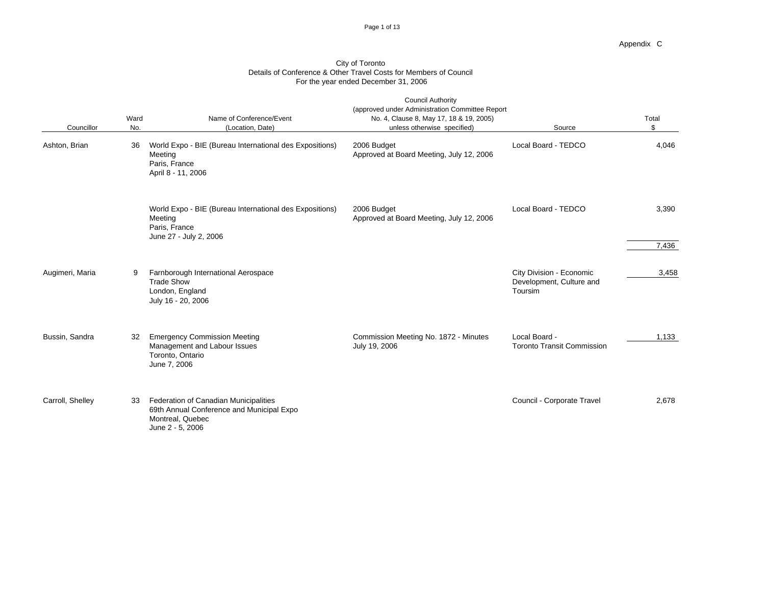#### Page 1 of 13

|                  |                                                     |                                                                                       | Details of Conference & Other Travel Costs for Members of Council<br>For the year ended December 31, 2006                                             |                                                                 |                   |
|------------------|-----------------------------------------------------|---------------------------------------------------------------------------------------|-------------------------------------------------------------------------------------------------------------------------------------------------------|-----------------------------------------------------------------|-------------------|
| Councillor       | Ward<br>N <sub>0</sub>                              | Name of Conference/Event<br>(Location, Date)                                          | <b>Council Authority</b><br>(approved under Administration Committee Report<br>No. 4, Clause 8, May 17, 18 & 19, 2005)<br>unless otherwise specified) | Source                                                          | Total             |
| Ashton, Brian    | Meeting<br>Paris, France<br>April 8 - 11, 2006      | 36 World Expo - BIE (Bureau International des Expositions)                            | 2006 Budget<br>Approved at Board Meeting, July 12, 2006                                                                                               | Local Board - TEDCO                                             | 4,046             |
|                  | Meeting<br>Paris, France<br>June 27 - July 2, 2006  | World Expo - BIE (Bureau International des Expositions)                               | 2006 Budget<br>Approved at Board Meeting, July 12, 2006                                                                                               | Local Board - TEDCO                                             | 3,390<br>7,436    |
| Augimeri, Maria  | Trade Show<br>London, England<br>July 16 - 20, 2006 | Farnborough International Aerospace                                                   |                                                                                                                                                       | City Division - Economic<br>Development, Culture and<br>Toursim | 3,458             |
| Bussin, Sandra   | Toronto, Ontario<br>June 7, 2006                    | 32 Emergency Commission Meeting<br>Management and Labour Issues                       | Commission Meeting No. 1872 - Minutes<br>July 19, 2006                                                                                                | Local Board -<br>Toronto Transit Commission                     | $\frac{1,133}{2}$ |
| Carroll, Shelley | Montreal, Quebec<br>June 2 - 5, 2006                | 33 Federation of Canadian Municipalities<br>69th Annual Conference and Municipal Expo |                                                                                                                                                       | Council - Corporate Travel                                      | 2,678             |

# City of Toronto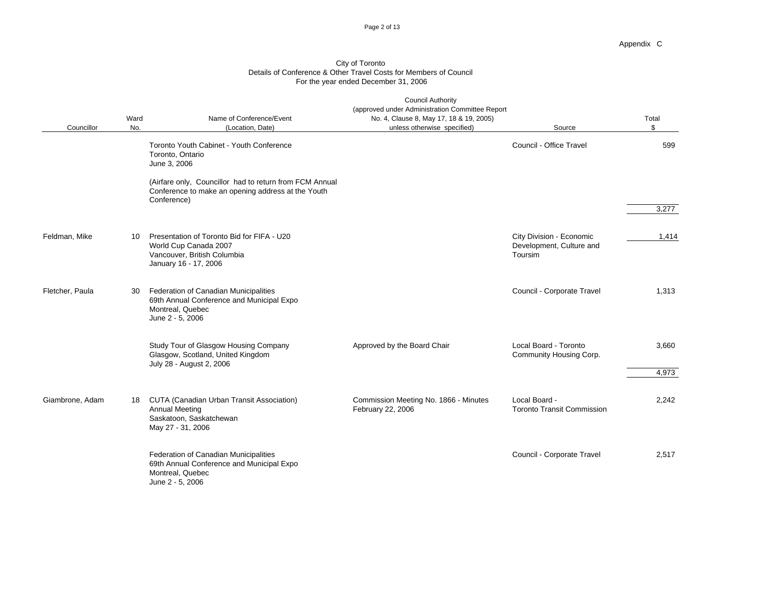#### Page 2 of 13

|                 |                        |                                                                                                                                | For the year ended December 31, 2006                                                                                                                  |                                                                 |                |
|-----------------|------------------------|--------------------------------------------------------------------------------------------------------------------------------|-------------------------------------------------------------------------------------------------------------------------------------------------------|-----------------------------------------------------------------|----------------|
| Councillor      | Ward<br>N <sub>0</sub> | Name of Conference/Event<br>(Location, Date)                                                                                   | <b>Council Authority</b><br>(approved under Administration Committee Report<br>No. 4, Clause 8, May 17, 18 & 19, 2005)<br>unless otherwise specified) | Source                                                          | Total          |
|                 |                        | Toronto Youth Cabinet - Youth Conference<br>Toronto, Ontario<br>June 3, 2006                                                   |                                                                                                                                                       | Council - Office Travel                                         | 599            |
|                 |                        | (Airfare only, Councillor had to return from FCM Annual<br>Conference to make an opening address at the Youth<br>Conference)   |                                                                                                                                                       |                                                                 | 3,277          |
| Feldman, Mike   |                        | 10 Presentation of Toronto Bid for FIFA - U20<br>World Cup Canada 2007<br>Vancouver, British Columbia<br>January 16 - 17, 2006 |                                                                                                                                                       | City Division - Economic<br>Development, Culture and<br>Toursim | 1,414          |
| Fletcher, Paula |                        | 30 Federation of Canadian Municipalities<br>69th Annual Conference and Municipal Expo<br>Montreal, Quebec<br>June 2 - 5, 2006  |                                                                                                                                                       | Council - Corporate Travel                                      | 1,313          |
|                 |                        | Study Tour of Glasgow Housing Company<br>Glasgow, Scotland, United Kingdom<br>July 28 - August 2, 2006                         | Approved by the Board Chair                                                                                                                           | Local Board - Toronto<br>Community Housing Corp.                | 3,660<br>4,973 |
| Giambrone, Adam |                        | 18 CUTA (Canadian Urban Transit Association)<br><b>Annual Meeting</b><br>Saskatoon, Saskatchewan<br>May 27 - 31, 2006          | Commission Meeting No. 1866 - Minutes<br>February 22, 2006                                                                                            | Local Board -<br><b>Toronto Transit Commission</b>              | 2,242          |
|                 |                        | Federation of Canadian Municipalities<br>69th Annual Conference and Municipal Expo<br>Montreal, Quebec<br>June 2 - 5, 2006     |                                                                                                                                                       | Council - Corporate Travel                                      | 2,517          |

# City of Toronto Details of Conference & Other Travel Costs for Members of Council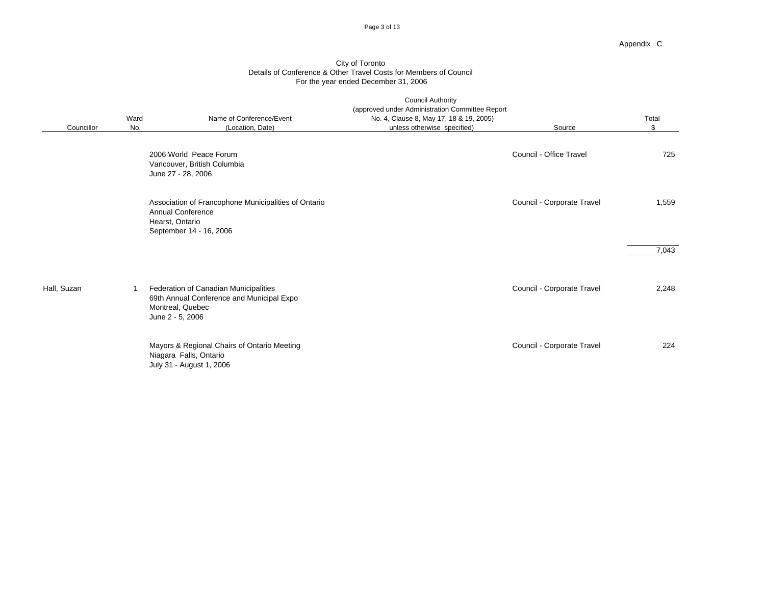#### Page 3 of 13

Appendix C

|             |                  |                                                                                                        | For the year ended December 31, 2006                                                                                                                  |                            |       |
|-------------|------------------|--------------------------------------------------------------------------------------------------------|-------------------------------------------------------------------------------------------------------------------------------------------------------|----------------------------|-------|
| Councillor  | Ward<br>No.      | Name of Conference/Event<br>(Location, Date)                                                           | <b>Council Authority</b><br>(approved under Administration Committee Report<br>No. 4, Clause 8, May 17, 18 & 19, 2005)<br>unless otherwise specified) | Source                     | Total |
|             |                  | 2006 World Peace Forum<br>Vancouver, British Columbia<br>June 27 - 28, 2006                            |                                                                                                                                                       | Council - Office Travel    | 725   |
|             | Hearst, Ontario  | Association of Francophone Municipalities of Ontario<br>Annual Conference<br>September 14 - 16, 2006   |                                                                                                                                                       | Council - Corporate Travel | 1,559 |
|             |                  |                                                                                                        |                                                                                                                                                       |                            | 7,043 |
| Hall, Suzan | June 2 - 5, 2006 | Federation of Canadian Municipalities<br>69th Annual Conference and Municipal Expo<br>Montreal, Quebec |                                                                                                                                                       | Council - Corporate Travel | 2,248 |
|             |                  | Mayors & Regional Chairs of Ontario Meeting<br>Niagara Falls, Ontario<br>July 31 - August 1, 2006      |                                                                                                                                                       | Council - Corporate Travel | 224   |

# City of Toronto Details of Conference & Other Travel Costs for Members of Council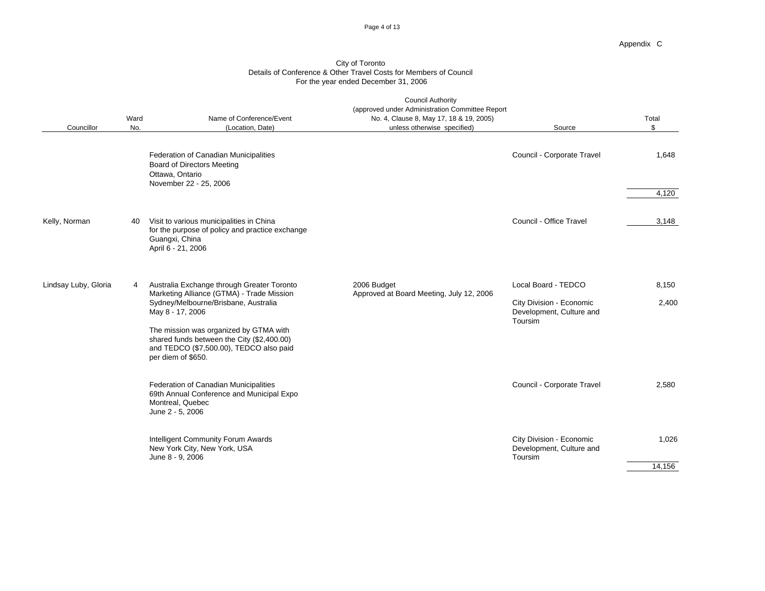#### Page 4 of 13

#### City of Toronto Details of Conference & Other Travel Costs for Members of Council For the year ended December 31, 2006

|                      |                        |                                                                                                                                                                                                                                                                                                              | <b>Council Authority</b><br>(approved under Administration Committee Report |                                                                                               |                                                                   |
|----------------------|------------------------|--------------------------------------------------------------------------------------------------------------------------------------------------------------------------------------------------------------------------------------------------------------------------------------------------------------|-----------------------------------------------------------------------------|-----------------------------------------------------------------------------------------------|-------------------------------------------------------------------|
| Councillor           | Ward<br>N <sub>0</sub> | Name of Conference/Event<br>(Location, Date)                                                                                                                                                                                                                                                                 | No. 4, Clause 8, May 17, 18 & 19, 2005)<br>unless otherwise specified)      | Source                                                                                        | Total                                                             |
|                      |                        | Federation of Canadian Municipalities<br><b>Board of Directors Meeting</b><br>Ottawa, Ontario<br>November 22 - 25, 2006                                                                                                                                                                                      |                                                                             | Council - Corporate Travel                                                                    | 1,648<br>the contract of the contract of the contract of<br>4,120 |
| Kelly, Norman        |                        | 40 Visit to various municipalities in China<br>for the purpose of policy and practice exchange<br>Guangxi, China<br>April 6 - 21, 2006                                                                                                                                                                       |                                                                             | Council - Office Travel                                                                       | 3,148                                                             |
| Lindsay Luby, Gloria |                        | Australia Exchange through Greater Toronto<br>Marketing Alliance (GTMA) - Trade Mission<br>Sydney/Melbourne/Brisbane, Australia<br>May 8 - 17, 2006<br>The mission was organized by GTMA with<br>shared funds between the City (\$2,400.00)<br>and TEDCO (\$7,500.00), TEDCO also paid<br>per diem of \$650. | 2006 Budget<br>Approved at Board Meeting, July 12, 2006                     | Local Board - TEDCO<br>City Division - Economic<br>Development, Culture and<br>Toursim        | 8,150<br>2,400                                                    |
|                      |                        | Federation of Canadian Municipalities<br>69th Annual Conference and Municipal Expo<br>Montreal, Quebec<br>June 2 - 5, 2006<br><b>Intelligent Community Forum Awards</b><br>New York City, New York, USA<br>June 8 - 9, 2006                                                                                  |                                                                             | Council - Corporate Travel<br>City Division - Economic<br>Development, Culture and<br>Toursim | 2,580<br>1,026<br>14,156                                          |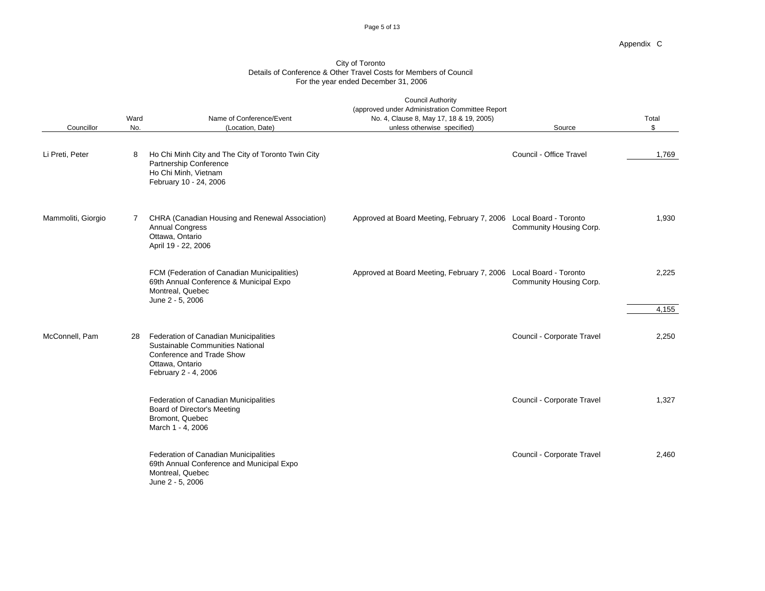#### Page 5 of 13

|                    |                                                                                                                                                      |                                                                                        | <b>Details of Conference &amp; Other Travel Costs for Internet's or Council</b><br>For the year ended December 31, 2006                               |                            |                |
|--------------------|------------------------------------------------------------------------------------------------------------------------------------------------------|----------------------------------------------------------------------------------------|-------------------------------------------------------------------------------------------------------------------------------------------------------|----------------------------|----------------|
| Councillor         | Ward<br>N <sub>0</sub>                                                                                                                               | Name of Conference/Event<br>(Location, Date)                                           | <b>Council Authority</b><br>(approved under Administration Committee Report<br>No. 4, Clause 8, May 17, 18 & 19, 2005)<br>unless otherwise specified) | Source                     | Total          |
| Li Preti, Peter    | <b>Partnership Conference</b><br>Ho Chi Minh, Vietnam<br>February 10 - 24, 2006                                                                      | Ho Chi Minh City and The City of Toronto Twin City                                     |                                                                                                                                                       | Council - Office Travel    | 1,769          |
| Mammoliti, Giorgio | Annual Congress<br>Ottawa, Ontario<br>April 19 - 22, 2006                                                                                            | CHRA (Canadian Housing and Renewal Association)                                        | Approved at Board Meeting, February 7, 2006 Local Board - Toronto                                                                                     | Community Housing Corp.    | 1,930          |
|                    | Montreal, Quebec<br>June 2 - 5, 2006                                                                                                                 | FCM (Federation of Canadian Municipalities)<br>69th Annual Conference & Municipal Expo | Approved at Board Meeting, February 7, 2006 Local Board - Toronto                                                                                     | Community Housing Corp.    | 2,225<br>4,155 |
| McConnell, Pam     | 28 Federation of Canadian Municipalities<br>Sustainable Communities National<br>Conference and Trade Show<br>Ottawa, Ontario<br>February 2 - 4, 2006 |                                                                                        |                                                                                                                                                       | Council - Corporate Travel | 2,250          |
|                    | Federation of Canadian Municipalities<br><b>Board of Director's Meeting</b><br>Bromont, Quebec<br>March 1 - 4, 2006                                  |                                                                                        |                                                                                                                                                       | Council - Corporate Travel | 1,327          |
|                    | Federation of Canadian Municipalities<br>Montreal, Quebec<br>June 2 - 5, 2006                                                                        | 69th Annual Conference and Municipal Expo                                              |                                                                                                                                                       | Council - Corporate Travel | 2,460          |

# City of Toronto Details of Conference & Other Travel Costs for Members of Council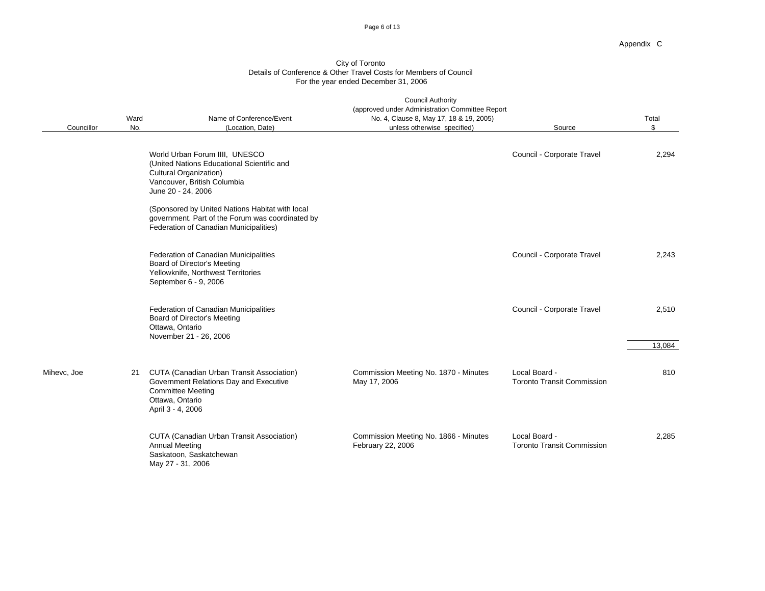Page 6 of 13

| City of Toronto                                                   |  |
|-------------------------------------------------------------------|--|
| Details of Conference & Other Travel Costs for Members of Council |  |
| For the year ended December 31, 2006                              |  |

| Councillor  | Ward<br>N <sub>0</sub>                     | Name of Conference/Event<br>(Location, Date)                                                                                                                | <b>Council Authority</b><br>(approved under Administration Committee Report<br>No. 4, Clause 8, May 17, 18 & 19, 2005)<br>unless otherwise specified) | Source                                             | Total           |
|-------------|--------------------------------------------|-------------------------------------------------------------------------------------------------------------------------------------------------------------|-------------------------------------------------------------------------------------------------------------------------------------------------------|----------------------------------------------------|-----------------|
|             |                                            | World Urban Forum IIII, UNESCO<br>(United Nations Educational Scientific and<br>Cultural Organization)<br>Vancouver, British Columbia<br>June 20 - 24, 2006 |                                                                                                                                                       | Council - Corporate Travel                         | 2,294           |
|             |                                            | (Sponsored by United Nations Habitat with local<br>government. Part of the Forum was coordinated by<br>Federation of Canadian Municipalities)               |                                                                                                                                                       |                                                    |                 |
|             |                                            | Federation of Canadian Municipalities<br><b>Board of Director's Meeting</b><br>Yellowknife, Northwest Territories<br>September 6 - 9, 2006                  |                                                                                                                                                       | Council - Corporate Travel                         | 2,243           |
|             | Ottawa, Ontario                            | Federation of Canadian Municipalities<br>Board of Director's Meeting<br>November 21 - 26, 2006                                                              |                                                                                                                                                       | Council - Corporate Travel                         | 2,510<br>13,084 |
| Mihevc, Joe | Ottawa, Ontario<br>April 3 - 4, 2006       | 21 CUTA (Canadian Urban Transit Association)<br>Government Relations Day and Executive<br><b>Committee Meeting</b>                                          | Commission Meeting No. 1870 - Minutes<br>May 17, 2006                                                                                                 | Local Board -<br><b>Toronto Transit Commission</b> | 810             |
|             | <b>Annual Meeting</b><br>May 27 - 31, 2006 | CUTA (Canadian Urban Transit Association)<br>Saskatoon, Saskatchewan                                                                                        | Commission Meeting No. 1866 - Minutes<br>February 22, 2006                                                                                            | Local Board -<br><b>Toronto Transit Commission</b> | 2,285           |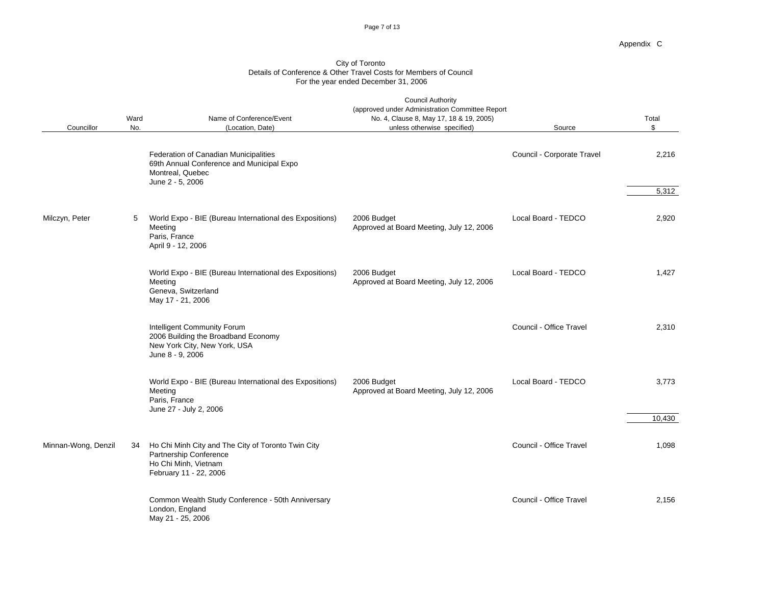#### Page 7 of 13

|                |                                                |                                                                                                                                                       | Details of Conference & Other Travel Costs for Members of Council<br>For the year ended December 31, 2006                                             |                            |                    |  |  |
|----------------|------------------------------------------------|-------------------------------------------------------------------------------------------------------------------------------------------------------|-------------------------------------------------------------------------------------------------------------------------------------------------------|----------------------------|--------------------|--|--|
| Councillor     | Ward<br>N <sub>0</sub>                         | Name of Conference/Event<br>(Location, Date)                                                                                                          | <b>Council Authority</b><br>(approved under Administration Committee Report<br>No. 4, Clause 8, May 17, 18 & 19, 2005)<br>unless otherwise specified) | Source                     | Total<br>$\bullet$ |  |  |
|                | June 2 - 5, 2006                               | Federation of Canadian Municipalities<br>69th Annual Conference and Municipal Expo<br>Montreal, Quebec                                                |                                                                                                                                                       | Council - Corporate Travel | 2,216<br>5,312     |  |  |
| Milczyn, Peter | Meeting<br>Paris, France<br>April 9 - 12, 2006 | World Expo - BIE (Bureau International des Expositions) 2006 Budget                                                                                   | Approved at Board Meeting, July 12, 2006                                                                                                              | Local Board - TEDCO        | 2,920              |  |  |
|                | Meeting                                        | World Expo - BIE (Bureau International des Expositions) 2006 Budget<br>Geneva, Switzerland<br>May 17 - 21, 2006                                       | Approved at Board Meeting, July 12, 2006                                                                                                              | Local Board - TEDCO        | 1,427              |  |  |
|                | June 8 - 9, 2006                               | <b>Intelligent Community Forum</b><br>2006 Building the Broadband Economy<br>New York City, New York, USA                                             |                                                                                                                                                       | Council - Office Travel    | 2,310              |  |  |
|                | Meeting<br>Paris, France                       | World Expo - BIE (Bureau International des Expositions) 2006 Budget<br>June 27 - July 2, 2006                                                         | Approved at Board Meeting, July 12, 2006                                                                                                              | Local Board - TEDCO        | 3,773<br>10,430    |  |  |
|                |                                                | Minnan-Wong, Denzil 34 Ho Chi Minh City and The City of Toronto Twin City<br>Partnership Conference<br>Ho Chi Minh, Vietnam<br>February 11 - 22, 2006 |                                                                                                                                                       | Council - Office Travel    | 1,098              |  |  |
|                | London, England                                | Common Wealth Study Conference - 50th Anniversary<br>May 21 - 25, 2006                                                                                |                                                                                                                                                       | Council - Office Travel    | 2,156              |  |  |

# City of Toronto Details of Conference & Other Travel Costs for Members of Council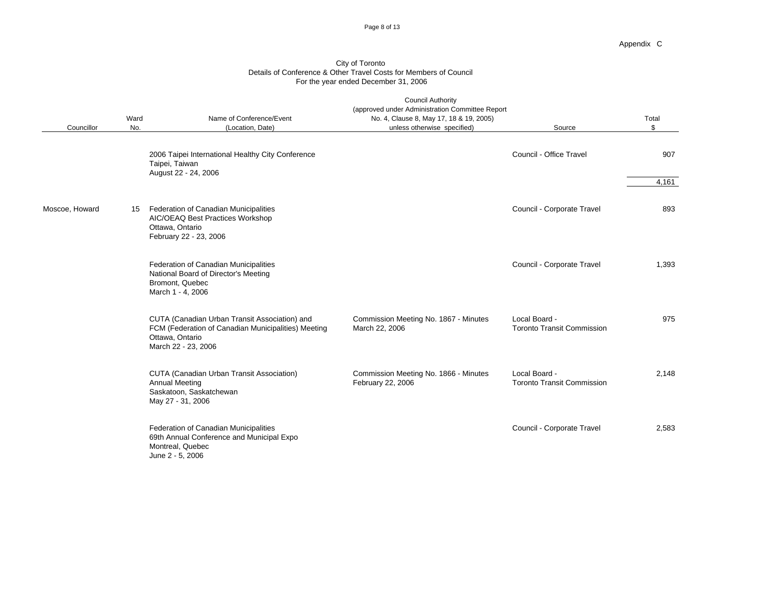#### Page 8 of 13

Appendix C

|                |                | For the year ended December 31, 2006                                                                                                           |                                                                                                                                                       |                                                    |                 |
|----------------|----------------|------------------------------------------------------------------------------------------------------------------------------------------------|-------------------------------------------------------------------------------------------------------------------------------------------------------|----------------------------------------------------|-----------------|
| Councillor     | Ward<br>No.    | Name of Conference/Event<br>(Location, Date)                                                                                                   | <b>Council Authority</b><br>(approved under Administration Committee Report<br>No. 4, Clause 8, May 17, 18 & 19, 2005)<br>unless otherwise specified) | Source                                             | Total           |
|                | Taipei, Taiwan | 2006 Taipei International Healthy City Conference<br>August 22 - 24, 2006                                                                      |                                                                                                                                                       | Council - Office Travel                            | 907<br>$-4,161$ |
| Moscoe, Howard |                | 15 Federation of Canadian Municipalities<br>AIC/OEAQ Best Practices Workshop<br>Ottawa, Ontario<br>February 22 - 23, 2006                      |                                                                                                                                                       | Council - Corporate Travel                         | 893             |
|                |                | Federation of Canadian Municipalities<br>National Board of Director's Meeting<br>Bromont, Quebec<br>March 1 - 4, 2006                          |                                                                                                                                                       | Council - Corporate Travel                         | 1,393           |
|                |                | CUTA (Canadian Urban Transit Association) and<br>FCM (Federation of Canadian Municipalities) Meeting<br>Ottawa, Ontario<br>March 22 - 23, 2006 | Commission Meeting No. 1867 - Minutes<br>March 22, 2006                                                                                               | Local Board -<br><b>Toronto Transit Commission</b> | 975             |
|                | Annual Meeting | CUTA (Canadian Urban Transit Association)<br>Saskatoon, Saskatchewan<br>May 27 - 31, 2006                                                      | Commission Meeting No. 1866 - Minutes<br>February 22, 2006                                                                                            | Local Board -<br><b>Toronto Transit Commission</b> | 2,148           |
|                |                | Federation of Canadian Municipalities<br>69th Annual Conference and Municipal Expo<br>Montreal, Quebec<br>June 2 - 5, 2006                     |                                                                                                                                                       | Council - Corporate Travel                         | 2,583           |

# City of Toronto Details of Conference & Other Travel Costs for Members of Council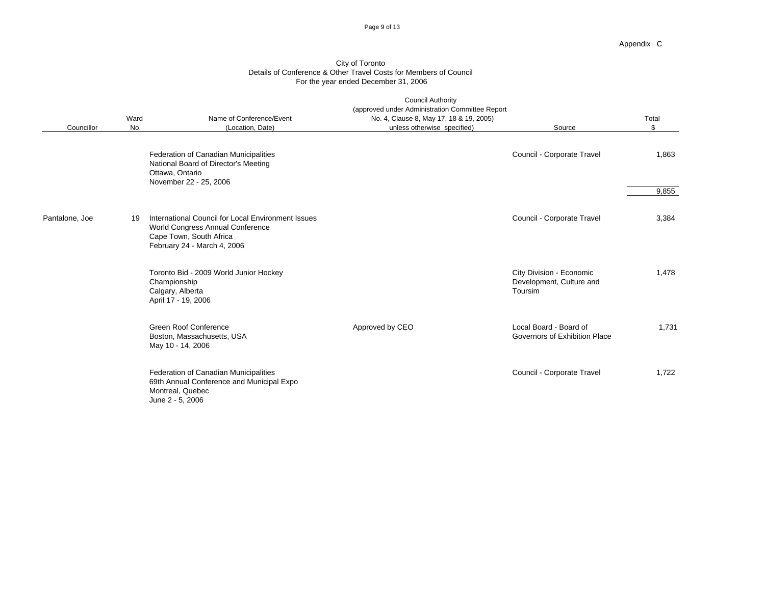#### Page 9 of 13

Appendix C

|                | Betallis of Conference & Other Travel Costs for Members of Council |                                                                                                                                                     |                                                                                                                                                       |                                                                 |                |  |  |
|----------------|--------------------------------------------------------------------|-----------------------------------------------------------------------------------------------------------------------------------------------------|-------------------------------------------------------------------------------------------------------------------------------------------------------|-----------------------------------------------------------------|----------------|--|--|
| Councillor     | Ward<br>N <sub>0</sub>                                             | Name of Conference/Event<br>(Location, Date)                                                                                                        | <b>Council Authority</b><br>(approved under Administration Committee Report<br>No. 4, Clause 8, May 17, 18 & 19, 2005)<br>unless otherwise specified) | Source                                                          | Total          |  |  |
|                | Ottawa, Ontario                                                    | Federation of Canadian Municipalities<br>National Board of Director's Meeting<br>November 22 - 25, 2006                                             |                                                                                                                                                       | Council - Corporate Travel                                      | 1,863<br>9,855 |  |  |
| Pantalone, Joe |                                                                    | 19 International Council for Local Environment Issues<br>World Congress Annual Conference<br>Cape Town, South Africa<br>February 24 - March 4, 2006 |                                                                                                                                                       | Council - Corporate Travel                                      | 3,384          |  |  |
|                | Championship<br>Calgary, Alberta<br>April 17 - 19, 2006            | Toronto Bid - 2009 World Junior Hockey                                                                                                              |                                                                                                                                                       | City Division - Economic<br>Development, Culture and<br>Toursim | 1,478          |  |  |
|                | May 10 - 14, 2006                                                  | <b>Green Roof Conference</b><br>Boston, Massachusetts, USA                                                                                          | Approved by CEO                                                                                                                                       | Local Board - Board of<br>Governors of Exhibition Place         | 1,731          |  |  |
|                | Montreal, Quebec<br>June 2 - 5, 2006                               | Federation of Canadian Municipalities<br>69th Annual Conference and Municipal Expo                                                                  |                                                                                                                                                       | Council - Corporate Travel                                      | 1,722          |  |  |

# City of Toronto Details of Conference & Other Travel Costs for Members of Council

 $\sim$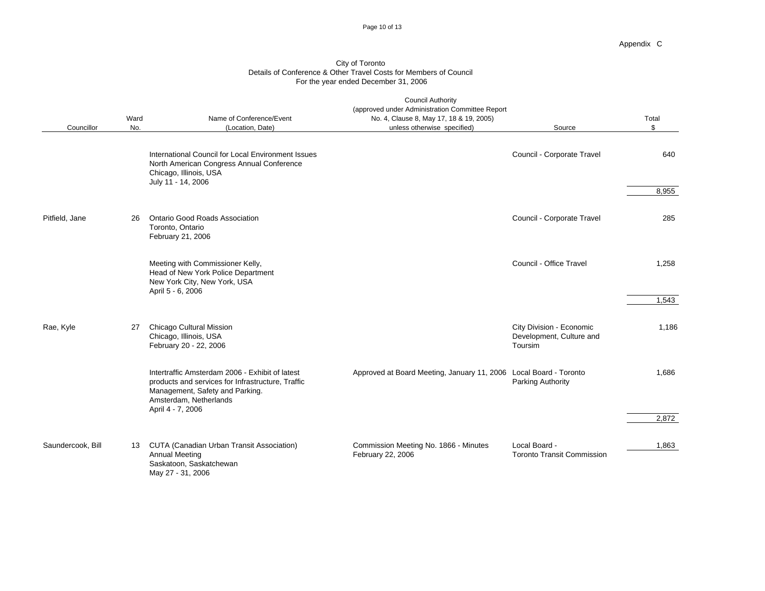#### Page 10 of 13

|                   | Ward  | Name of Conference/Event                                                                                                                                                               | <b>Council Authority</b><br>(approved under Administration Committee Report<br>No. 4, Clause 8, May 17, 18 & 19, 2005) |                                                                 | Total          |  |  |
|-------------------|-------|----------------------------------------------------------------------------------------------------------------------------------------------------------------------------------------|------------------------------------------------------------------------------------------------------------------------|-----------------------------------------------------------------|----------------|--|--|
| Councillor        | $N_0$ | (Location, Date)                                                                                                                                                                       | unless otherwise specified)                                                                                            | Source                                                          |                |  |  |
|                   |       | International Council for Local Environment Issues<br>North American Congress Annual Conference                                                                                        |                                                                                                                        | Council - Corporate Travel                                      | 640            |  |  |
|                   |       | Chicago, Illinois, USA<br>July 11 - 14, 2006                                                                                                                                           |                                                                                                                        |                                                                 | 8,955          |  |  |
| Pitfield, Jane    |       | 26 Ontario Good Roads Association<br>Toronto, Ontario<br>February 21, 2006                                                                                                             |                                                                                                                        | Council - Corporate Travel                                      | 285            |  |  |
|                   |       | Meeting with Commissioner Kelly,<br>Head of New York Police Department<br>New York City, New York, USA<br>April 5 - 6, 2006                                                            |                                                                                                                        | Council - Office Travel                                         | 1,258          |  |  |
| Rae, Kyle         |       | 27 Chicago Cultural Mission<br>Chicago, Illinois, USA<br>February 20 - 22, 2006                                                                                                        |                                                                                                                        | City Division - Economic<br>Development, Culture and<br>Toursim | 1,186          |  |  |
|                   |       | Intertraffic Amsterdam 2006 - Exhibit of latest<br>products and services for Infrastructure, Traffic<br>Management, Safety and Parking.<br>Amsterdam, Netherlands<br>April 4 - 7, 2006 | Approved at Board Meeting, January 11, 2006 Local Board - Toronto                                                      | <b>Parking Authority</b>                                        | 1,686<br>2,872 |  |  |
| Saundercook, Bill |       | 13 CUTA (Canadian Urban Transit Association)<br>Annual Meeting<br>Saskatoon, Saskatchewan<br>May 27 - 31, 2006                                                                         | Commission Meeting No. 1866 - Minutes<br>February 22, 2006                                                             | Local Board -<br><b>Toronto Transit Commission</b>              | 1,863          |  |  |

#### City of Toronto Details of Conference & Other Travel Costs for Members of Council For the year ended December 31, 2006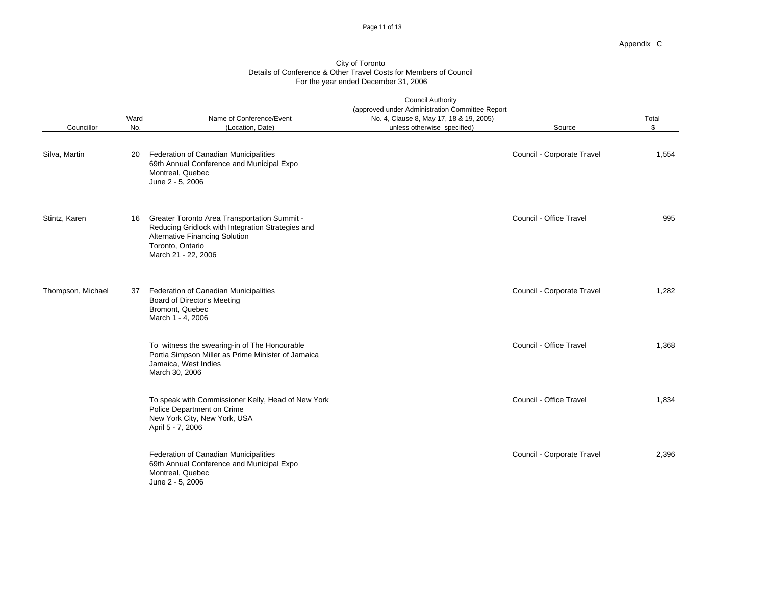#### Page 11 of 13

|                   |                                      | $\sim$                                                                                                                                                               |                                                                                                                                                       |                            |                         |
|-------------------|--------------------------------------|----------------------------------------------------------------------------------------------------------------------------------------------------------------------|-------------------------------------------------------------------------------------------------------------------------------------------------------|----------------------------|-------------------------|
| Councillor        | Ward<br>N <sub>0</sub>               | Name of Conference/Event<br>(Location, Date)                                                                                                                         | <b>Council Authority</b><br>(approved under Administration Committee Report<br>No. 4, Clause 8, May 17, 18 & 19, 2005)<br>unless otherwise specified) | Source                     | Total                   |
| Silva, Martin     | Montreal, Quebec<br>June 2 - 5, 2006 | 20 Federation of Canadian Municipalities<br>69th Annual Conference and Municipal Expo                                                                                |                                                                                                                                                       | Council - Corporate Travel | 1,554                   |
| Stintz, Karen     | Toronto, Ontario                     | 16 Greater Toronto Area Transportation Summit -<br>Reducing Gridlock with Integration Strategies and<br><b>Alternative Financing Solution</b><br>March 21 - 22, 2006 |                                                                                                                                                       | Council - Office Travel    | 995<br>$\sim$ 100 $\mu$ |
| Thompson, Michael | Bromont, Quebec<br>March 1 - 4, 2006 | 37 Federation of Canadian Municipalities<br><b>Board of Director's Meeting</b>                                                                                       |                                                                                                                                                       | Council - Corporate Travel | 1,282                   |
|                   | March 30, 2006                       | To witness the swearing-in of The Honourable<br>Portia Simpson Miller as Prime Minister of Jamaica<br>Jamaica, West Indies                                           |                                                                                                                                                       | Council - Office Travel    | 1,368                   |
|                   | April 5 - 7, 2006                    | To speak with Commissioner Kelly, Head of New York<br>Police Department on Crime<br>New York City, New York, USA                                                     |                                                                                                                                                       | Council - Office Travel    | 1,834                   |
|                   | Montreal, Quebec<br>June 2 - 5, 2006 | Federation of Canadian Municipalities<br>69th Annual Conference and Municipal Expo                                                                                   |                                                                                                                                                       | Council - Corporate Travel | 2,396                   |

#### City of Toronto Details of Conference & Other Travel Costs for Members of Council For the year ended December 31, 2006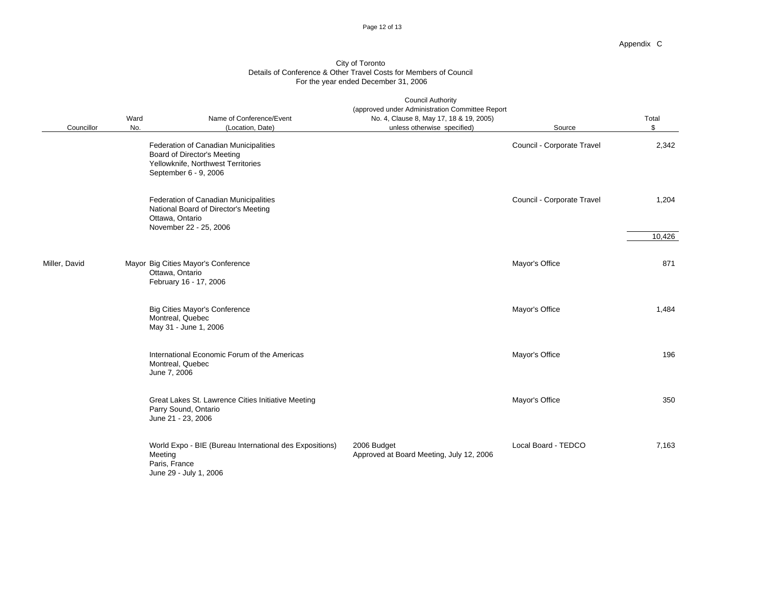Page 12 of 13

| <b>Sity of Toronto</b>                                            |  |
|-------------------------------------------------------------------|--|
| Details of Conference & Other Travel Costs for Members of Council |  |
| For the year ended December 31, 2006                              |  |

|               |                        |                                                                                                                                            | <b>Council Authority</b>                                                                   |                            |                 |
|---------------|------------------------|--------------------------------------------------------------------------------------------------------------------------------------------|--------------------------------------------------------------------------------------------|----------------------------|-----------------|
|               |                        | Name of Conference/Event                                                                                                                   | (approved under Administration Committee Report<br>No. 4, Clause 8, May 17, 18 & 19, 2005) |                            |                 |
| Councillor    | Ward<br>N <sub>0</sub> | (Location, Date)                                                                                                                           | unless otherwise specified)                                                                | Source                     | Total           |
|               |                        |                                                                                                                                            |                                                                                            |                            |                 |
|               |                        | Federation of Canadian Municipalities<br><b>Board of Director's Meeting</b><br>Yellowknife, Northwest Territories<br>September 6 - 9, 2006 |                                                                                            | Council - Corporate Travel | 2,342           |
|               |                        | Federation of Canadian Municipalities<br>National Board of Director's Meeting<br>Ottawa, Ontario<br>November 22 - 25, 2006                 |                                                                                            | Council - Corporate Travel | 1,204<br>10,426 |
|               |                        |                                                                                                                                            |                                                                                            |                            |                 |
| Miller, David |                        | Mayor Big Cities Mayor's Conference<br>Ottawa, Ontario<br>February 16 - 17, 2006                                                           |                                                                                            | Mayor's Office             | 871             |
|               |                        | <b>Big Cities Mayor's Conference</b><br>Montreal, Quebec<br>May 31 - June 1, 2006                                                          |                                                                                            | Mayor's Office             | 1,484           |
|               |                        | International Economic Forum of the Americas<br>Montreal, Quebec<br>June 7, 2006                                                           |                                                                                            | Mayor's Office             | 196             |
|               |                        | Great Lakes St. Lawrence Cities Initiative Meeting<br>Parry Sound, Ontario<br>June 21 - 23, 2006                                           |                                                                                            | Mayor's Office             | 350             |
|               |                        | World Expo - BIE (Bureau International des Expositions)<br>Meeting<br>Paris, France<br>June 29 - July 1, 2006                              | 2006 Budget<br>Approved at Board Meeting, July 12, 2006                                    | Local Board - TEDCO        | 7,163           |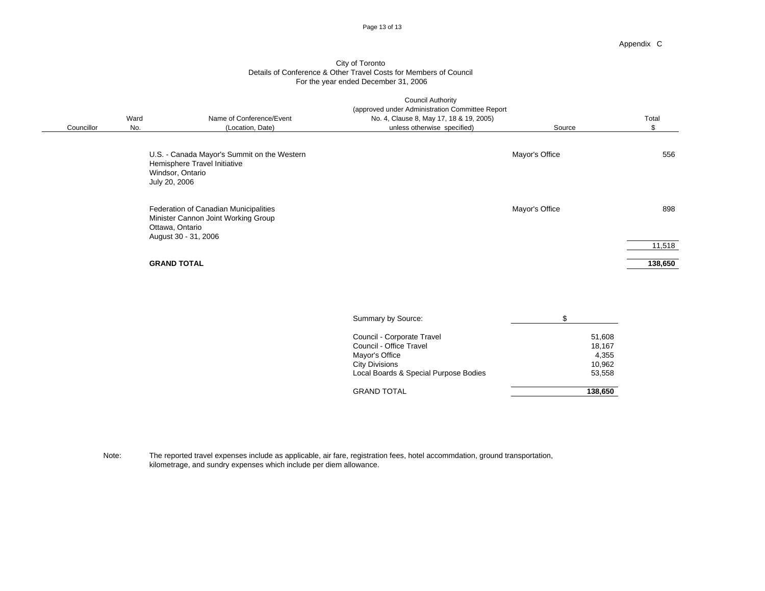#### Page 13 of 13

|            |      | For the year ended December 31, 2006                                                                                    |                                                                                                                                                       |                |                          |  |  |
|------------|------|-------------------------------------------------------------------------------------------------------------------------|-------------------------------------------------------------------------------------------------------------------------------------------------------|----------------|--------------------------|--|--|
| Councillor | Ward | Name of Conference/Event<br>(Location, Date)                                                                            | <b>Council Authority</b><br>(approved under Administration Committee Report<br>No. 4, Clause 8, May 17, 18 & 19, 2005)<br>unless otherwise specified) | Source         | Total                    |  |  |
|            |      | U.S. - Canada Mayor's Summit on the Western<br>Hemisphere Travel Initiative<br>Windsor, Ontario<br>July 20, 2006        |                                                                                                                                                       | Mayor's Office | 556                      |  |  |
|            |      | Federation of Canadian Municipalities<br>Minister Cannon Joint Working Group<br>Ottawa, Ontario<br>August 30 - 31, 2006 |                                                                                                                                                       | Mayor's Office | 898                      |  |  |
|            |      | <b>GRAND TOTAL</b>                                                                                                      |                                                                                                                                                       |                | $\frac{11,518}{138,650}$ |  |  |

# City of Toronto Details of Conference & Other Travel Costs for Members of Council

| Council - Corporate Travel            | 51,608  |
|---------------------------------------|---------|
| Council - Office Travel               | 18,167  |
| Mayor's Office                        | ,355    |
| City Divisions                        | 10,962  |
| Local Boards & Special Purpose Bodies | 53,558  |
| <b>GRAND TOTAL</b>                    | 138,650 |

Note: The reported travel expenses include as applicable, air fare, registration fees, hotel accommdation, ground transportation, kilometrage, and sundry expenses which include per diem allowance.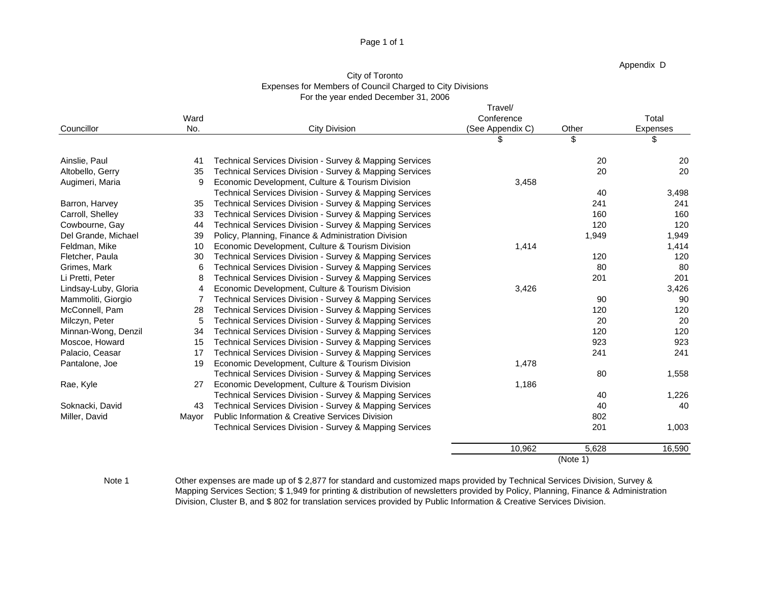#### Page 1 of 1

Appendix D

|                      |                | For the year ended December 31, 2006                       |                  |              |          |  |
|----------------------|----------------|------------------------------------------------------------|------------------|--------------|----------|--|
|                      |                |                                                            | Travel/          |              |          |  |
|                      | Ward           |                                                            | Conference       |              | Total    |  |
| Councillor           | N <sub>0</sub> | City Division                                              | (See Appendix C) | Other        | Expenses |  |
|                      |                |                                                            |                  |              |          |  |
|                      |                |                                                            |                  |              |          |  |
| Ainslie, Paul        |                | 41 Technical Services Division - Survey & Mapping Services |                  |              |          |  |
| Altobello, Gerry     |                | 35 Technical Services Division - Survey & Mapping Services |                  |              | 20       |  |
| Augimeri, Maria      |                | 9 Economic Development, Culture & Tourism Division         | 3,458            |              |          |  |
|                      |                | Technical Services Division - Survey & Mapping Services    |                  |              | 3,498    |  |
| Barron, Harvey       |                | 35 Technical Services Division - Survey & Mapping Services |                  |              | 241      |  |
| Carroll, Shelley     |                | 33 Technical Services Division - Survey & Mapping Services |                  |              | 160      |  |
| Cowbourne, Gay       |                | 44 Technical Services Division - Survey & Mapping Services |                  | 120          | 120      |  |
| Del Grande, Michael  |                | 39 Policy, Planning, Finance & Administration Division     |                  | 1,949        | 1,949    |  |
| Feldman, Mike        |                | 10 Economic Development, Culture & Tourism Division        | 1,414            |              | 1,414    |  |
| Fletcher, Paula      |                | 30 Technical Services Division - Survey & Mapping Services |                  | 120          | 120      |  |
| Grimes, Mark         |                | 6 Technical Services Division - Survey & Mapping Services  |                  |              | 80       |  |
| Li Pretti, Peter     |                | 8 Technical Services Division - Survey & Mapping Services  |                  | $20^{\circ}$ | 201      |  |
| Lindsay-Luby, Gloria |                | 4 Economic Development, Culture & Tourism Division         | 3.426            |              | 3,426    |  |
| Mammoliti, Giorgio   |                | Technical Services Division - Survey & Mapping Services    |                  |              | 90       |  |
| McConnell, Pam       |                | 28 Technical Services Division - Survey & Mapping Services |                  |              | 120      |  |
| Milczyn, Peter       |                | 5 Technical Services Division - Survey & Mapping Services  |                  |              | 20       |  |
| Minnan-Wong, Denzil  |                | 34 Technical Services Division - Survey & Mapping Services |                  |              | 120      |  |
| Moscoe, Howard       |                | 15 Technical Services Division - Survey & Mapping Services |                  | 923          | 923      |  |
| Palacio, Ceasar      |                | 17 Technical Services Division - Survey & Mapping Services |                  | 241          | 241      |  |
| Pantalone, Joe       |                | 19 Economic Development, Culture & Tourism Division        | 1,478            |              |          |  |
|                      |                | Technical Services Division - Survey & Mapping Services    |                  | 80           | 1,558    |  |
| Rae, Kyle            |                | 27 Economic Development, Culture & Tourism Division        | 1,186            |              |          |  |
|                      |                | Technical Services Division - Survey & Mapping Services    |                  |              | 1,226    |  |
| Soknacki, David      |                | 43 Technical Services Division - Survey & Mapping Services |                  |              | 40       |  |
| Miller, David        |                | Mayor Public Information & Creative Services Division      |                  | 802          |          |  |
|                      |                | Technical Services Division - Survey & Mapping Services    |                  | 201          | 1,003    |  |
|                      |                |                                                            |                  |              |          |  |
|                      |                |                                                            | 10,962           | 5,628        | 16,590   |  |
|                      |                |                                                            |                  | (Note 1)     |          |  |
|                      |                |                                                            |                  |              |          |  |

# City of Toronto Expenses for Members of Council Charged to City Divisions For the year ended December 31, 2006

Note 1 Other expenses are made up of \$ 2,877 for standard and customized maps provided by Technical Services Division, Survey & Mapping Services Section; \$ 1,949 for printing & distribution of newsletters provided by Policy, Planning, Finance & Administration Division, Cluster B, and \$ 802 for translation services provided by Public Information & Creative Services Division.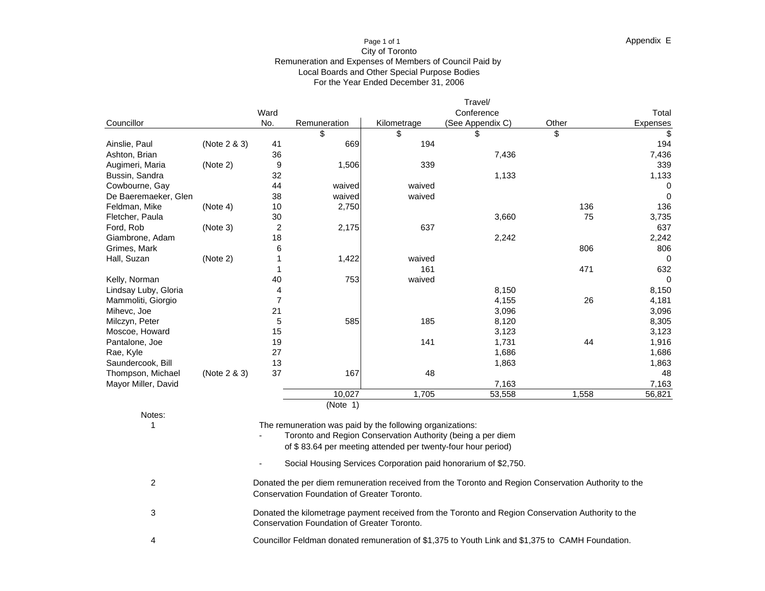### Page 1 of 1 Appendix E For the Year Ended December 31, 2006 City of Toronto Remuneration and Expenses of Members of Council Paid by Local Boards and Other Special Purpose Bodies

|                                 |              |                       |                                             |                                                           | Travel/                                                                                              |           |                |
|---------------------------------|--------------|-----------------------|---------------------------------------------|-----------------------------------------------------------|------------------------------------------------------------------------------------------------------|-----------|----------------|
|                                 |              | Ward                  |                                             |                                                           | Conference                                                                                           |           | Total          |
| Councillor                      |              | No.                   | Remuneration                                | Kilometrage                                               | (See Appendix C)                                                                                     | Other     | Expenses       |
|                                 |              |                       |                                             |                                                           |                                                                                                      |           |                |
| Ainslie, Paul                   | (Note 2 & 3) | 41                    | 669                                         | 194                                                       |                                                                                                      |           | 194            |
| Ashton, Brian                   |              |                       |                                             |                                                           | 7,436                                                                                                |           | 7,436          |
| Augimeri, Maria                 | (Note 2)     |                       | 1,506                                       | 339                                                       |                                                                                                      |           | 339            |
| Bussin, Sandra                  |              | 32                    |                                             |                                                           | 1,133                                                                                                |           | 1,133          |
| Cowbourne, Gay                  |              | 44                    | waived                                      | waived                                                    |                                                                                                      |           | $\overline{0}$ |
| De Baeremaeker, Glen            |              | 38<br>10 <sup>1</sup> | waived<br>2,750                             | waived                                                    |                                                                                                      |           | $\overline{0}$ |
| Feldman, Mike                   | (Note 4)     |                       |                                             |                                                           | 3,660                                                                                                | 136<br>75 | 136<br>3,735   |
| Fletcher, Paula                 | (Note 3)     |                       | 2,175                                       | 637                                                       |                                                                                                      |           | 637            |
| Ford, Rob                       |              |                       |                                             |                                                           | 2,242                                                                                                |           | 2,242          |
| Giambrone, Adam<br>Grimes, Mark |              |                       |                                             |                                                           |                                                                                                      | 806       | 806            |
| Hall, Suzan                     | (Note 2)     |                       | 1,422                                       | waived                                                    |                                                                                                      |           | $\overline{0}$ |
|                                 |              |                       |                                             | 161                                                       |                                                                                                      | 471       | 632            |
| Kelly, Norman                   |              |                       | 753                                         | waived                                                    |                                                                                                      |           | $\overline{0}$ |
| Lindsay Luby, Gloria            |              |                       |                                             |                                                           | 8,150                                                                                                |           | 8,150          |
| Mammoliti, Giorgio              |              |                       |                                             |                                                           | 4,155                                                                                                | 26        | 4,181          |
| Mihevc, Joe                     |              |                       |                                             |                                                           | 3,096                                                                                                |           | 3,096          |
| Milczyn, Peter                  |              |                       | 585                                         | 185                                                       | 8,120                                                                                                |           | 8,305          |
| Moscoe, Howard                  |              |                       |                                             |                                                           | 3,123                                                                                                |           | 3,123          |
| Pantalone, Joe                  |              |                       |                                             | 141                                                       | 1,731                                                                                                | 44        | 1,916          |
| Rae, Kyle                       |              | 27                    |                                             |                                                           | 1,686                                                                                                |           | 1,686          |
| Saundercook, Bill               |              | 13                    |                                             |                                                           | 1,863                                                                                                |           | 1,863          |
| Thompson, Michael               | (Note 2 & 3) | 37                    | 167                                         | 48                                                        |                                                                                                      |           | 48             |
| Mayor Miller, David             |              |                       |                                             |                                                           | 7,163                                                                                                |           | 7,163          |
|                                 |              |                       | 10,027                                      | 1,705                                                     | 53,558                                                                                               | 1,558     | 56,821         |
|                                 |              |                       | (Note 1)                                    |                                                           |                                                                                                      |           |                |
| Notes:                          |              |                       |                                             |                                                           |                                                                                                      |           |                |
|                                 |              |                       |                                             | The remuneration was paid by the following organizations: |                                                                                                      |           |                |
|                                 |              |                       |                                             |                                                           | Toronto and Region Conservation Authority (being a per diem                                          |           |                |
|                                 |              |                       |                                             |                                                           | of \$83.64 per meeting attended per twenty-four hour period)                                         |           |                |
|                                 |              |                       |                                             |                                                           | Social Housing Services Corporation paid honorarium of \$2,750.                                      |           |                |
|                                 |              |                       |                                             |                                                           |                                                                                                      |           |                |
|                                 |              |                       |                                             |                                                           | Donated the per diem remuneration received from the Toronto and Region Conservation Authority to the |           |                |
|                                 |              |                       | Conservation Foundation of Greater Toronto. |                                                           |                                                                                                      |           |                |
|                                 |              |                       |                                             |                                                           |                                                                                                      |           |                |
|                                 |              |                       |                                             |                                                           | Donated the kilometrage payment received from the Toronto and Region Conservation Authority to the   |           |                |
|                                 |              |                       | Conservation Foundation of Greater Toronto. |                                                           |                                                                                                      |           |                |
|                                 |              |                       |                                             |                                                           | Councillor Feldman donated remuneration of \$1,375 to Youth Link and \$1,375 to CAMH Foundation.     |           |                |
|                                 |              |                       |                                             |                                                           |                                                                                                      |           |                |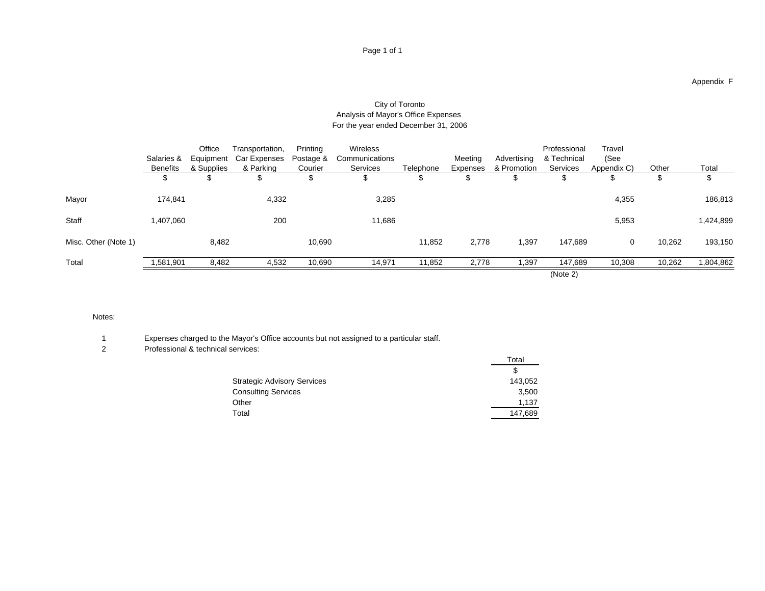#### Appendix F

|                      |                     |       |                                              |         | Tor the year chaca December 31, 2000                                               |           |          |             |                                                                    |                           |        |           |
|----------------------|---------------------|-------|----------------------------------------------|---------|------------------------------------------------------------------------------------|-----------|----------|-------------|--------------------------------------------------------------------|---------------------------|--------|-----------|
|                      | Benefits & Supplies |       | Office Transportation, Printing<br>& Parking | Courier | Wireless<br>Salaries & Equipment Car Expenses Postage & Communications<br>Services | Telephone | Expenses | & Promotion | Professional Travel<br>Meeting Advertising & Technical<br>Services | (See<br>Appendix C) Other |        | Total     |
|                      |                     |       |                                              |         |                                                                                    |           |          |             |                                                                    |                           |        |           |
| Mayor                | 174,841             |       | 4,332                                        |         | 3,285                                                                              |           |          |             |                                                                    | 4,355                     |        | 186,813   |
| Staff                | 1,407,060           |       | 200                                          |         | 11,686                                                                             |           |          |             |                                                                    | 5,953                     |        | 1,424,899 |
| Misc. Other (Note 1) |                     | 8,482 |                                              | 10,690  |                                                                                    | 11,852    | 2,778    | 1,397       | 147,689                                                            |                           | 10,262 | 193,150   |
| Total                | 1,581,901           | 8,482 | 4,532                                        | 10,690  | 14,971                                                                             | 11,852    | 2,778    | 1,397       | 147,689                                                            | 10,308                    | 10,262 | 1,804,862 |
|                      |                     |       |                                              |         |                                                                                    |           |          |             | (Note 2)                                                           |                           |        |           |

# City of Toronto Analysis of Mayor's Office Expenses For the year ended December 31, 2006

#### Notes:

1 Expenses charged to the Mayor's Office accounts but not assigned to a particular staff.

2 Professional & technical services:

|                                                    | $\overline{\phantom{a}}$ $\overline{\phantom{a}}$   |  |
|----------------------------------------------------|-----------------------------------------------------|--|
|                                                    | <b>Contract Contract Contract Contract Contract</b> |  |
|                                                    | 143,052                                             |  |
| Strategic Advisory Services<br>Consulting Services | 3,500                                               |  |
| Other                                              | 1.127<br>, 1 J 1                                    |  |
| Total                                              | 147,689                                             |  |
|                                                    |                                                     |  |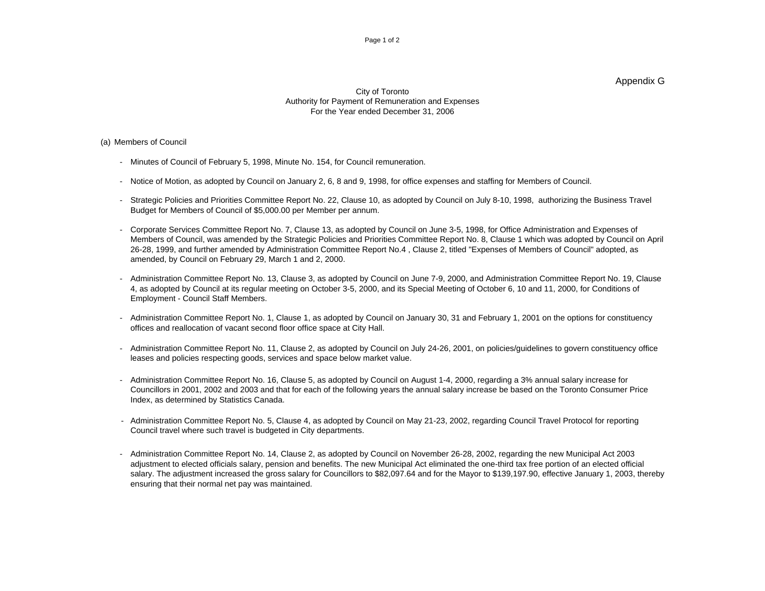### Appendix G

### City of Toronto Authority for Payment of Remuneration and Expenses For the Year ended December 31, 2006

(a) Members of Council

- Minutes of Council of February 5, 1998, Minute No. 154, for Council remuneration.
- Notice of Motion, as adopted by Council on January 2, 6, 8 and 9, 1998, for office expenses and staffing for Members of Council.
- Strategic Policies and Priorities Committee Report No. 22, Clause 10, as adopted by Council on July 8-10, 1998, authorizing the Business Travel Budget for Members of Council of \$5,000.00 per Member per annum.
- Corporate Services Committee Report No. 7, Clause 13, as adopted by Council on June 3-5, 1998, for Office Administration and Expenses of Members of Council, was amended by the Strategic Policies and Priorities Committee Report No. 8, Clause 1 which was adopted by Council on April 26-28, 1999, and further amended by Administration Committee Report No.4 , Clause 2, titled "Expenses of Members of Council" adopted, as amended, by Council on February 29, March 1 and 2, 2000.
- Administration Committee Report No. 13, Clause 3, as adopted by Council on June 7-9, 2000, and Administration Committee Report No. 19, Clause 4, as adopted by Council at its regular meeting on October 3-5, 2000, and its Special Meeting of October 6, 10 and 11, 2000, for Conditions of Employment - Council Staff Members.
- Administration Committee Report No. 1, Clause 1, as adopted by Council on January 30, 31 and February 1, 2001 on the options for constituency offices and reallocation of vacant second floor office space at City Hall.
- Administration Committee Report No. 11, Clause 2, as adopted by Council on July 24-26, 2001, on policies/guidelines to govern constituency office leases and policies respecting goods, services and space below market value.
- Administration Committee Report No. 16, Clause 5, as adopted by Council on August 1-4, 2000, regarding a 3% annual salary increase for Councillors in 2001, 2002 and 2003 and that for each of the following years the annual salary increase be based on the Toronto Consumer Price Index, as determined by Statistics Canada.
- Administration Committee Report No. 5, Clause 4, as adopted by Council on May 21-23, 2002, regarding Council Travel Protocol for reporting Council travel where such travel is budgeted in City departments.
- Administration Committee Report No. 14, Clause 2, as adopted by Council on November 26-28, 2002, regarding the new Municipal Act 2003 adjustment to elected officials salary, pension and benefits. The new Municipal Act eliminated the one-third tax free portion of an elected official salary. The adjustment increased the gross salary for Councillors to \$82,097.64 and for the Mayor to \$139,197.90, effective January 1, 2003, thereby ensuring that their normal net pay was maintained.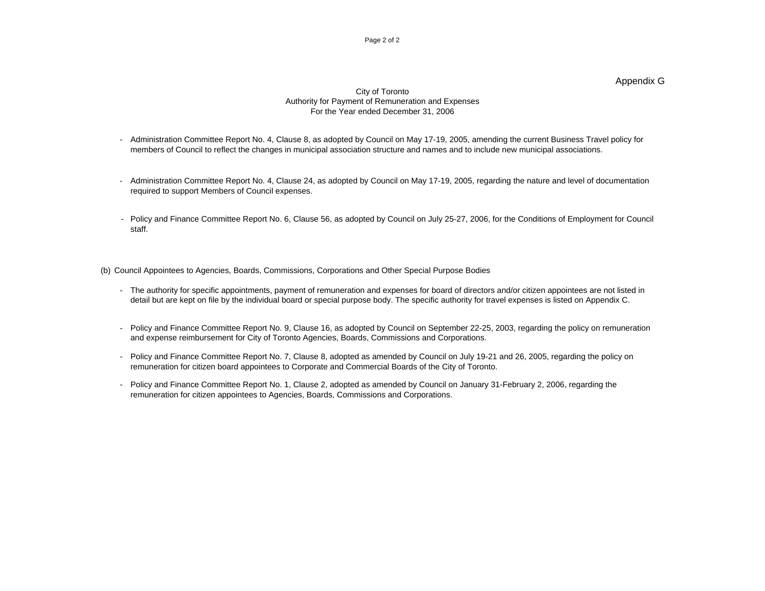### Appendix G

### City of Toronto Authority for Payment of Remuneration and Expenses For the Year ended December 31, 2006

- Administration Committee Report No. 4, Clause 8, as adopted by Council on May 17-19, 2005, amending the current Business Travel policy for members of Council to reflect the changes in municipal association structure and names and to include new municipal associations.
- Administration Committee Report No. 4, Clause 24, as adopted by Council on May 17-19, 2005, regarding the nature and level of documentation required to support Members of Council expenses.
- Policy and Finance Committee Report No. 6, Clause 56, as adopted by Council on July 25-27, 2006, for the Conditions of Employment for Council staff. The contract of the contract of the contract of the contract of the contract of the contract of the contract of the contract of the contract of the contract of the contract of the contract of the contract of the con

(b) Council Appointees to Agencies, Boards, Commissions, Corporations and Other Special Purpose Bodies

- The authority for specific appointments, payment of remuneration and expenses for board of directors and/or citizen appointees are not listed in detail but are kept on file by the individual board or special purpose body. The specific authority for travel expenses is listed on Appendix C.
- Policy and Finance Committee Report No. 9, Clause 16, as adopted by Council on September 22-25, 2003, regarding the policy on remuneration and expense reimbursement for City of Toronto Agencies, Boards, Commissions and Corporations.
- Policy and Finance Committee Report No. 7, Clause 8, adopted as amended by Council on July 19-21 and 26, 2005, regarding the policy on remuneration for citizen board appointees to Corporate and Commercial Boards of the City of Toronto.
- Policy and Finance Committee Report No. 1, Clause 2, adopted as amended by Council on January 31-February 2, 2006, regarding the remuneration for citizen appointees to Agencies, Boards, Commissions and Corporations.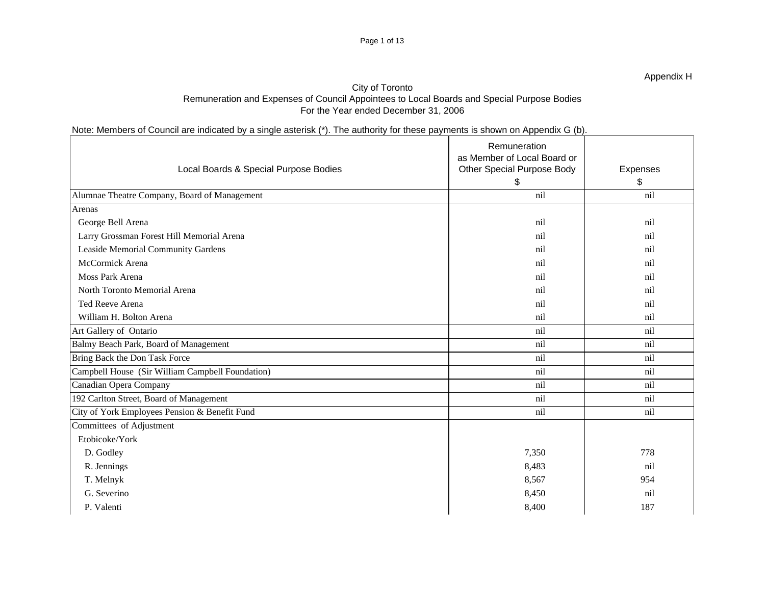Note: Members of Council are indicated by a single asterisk (\*). The authority for these payments is shown on Appendix G (b).

|                                                  | Local Boards & Special Purpose Bodies | Remuneration<br>as Member of Local Board or<br><b>Other Special Purpose Body</b> | Expenses |
|--------------------------------------------------|---------------------------------------|----------------------------------------------------------------------------------|----------|
|                                                  |                                       |                                                                                  |          |
| Alumnae Theatre Company, Board of Management     |                                       | nil                                                                              | nil      |
| Arenas                                           |                                       |                                                                                  |          |
| George Bell Arena                                |                                       | nil                                                                              | nil      |
| Larry Grossman Forest Hill Memorial Arena        |                                       |                                                                                  | nil      |
| Leaside Memorial Community Gardens               |                                       | nil                                                                              |          |
| McCormick Arena                                  |                                       | nil                                                                              |          |
| Moss Park Arena                                  |                                       |                                                                                  |          |
| North Toronto Memorial Arena                     |                                       |                                                                                  |          |
| Ted Reeve Arena                                  |                                       |                                                                                  |          |
| William H. Bolton Arena                          |                                       | nil                                                                              | nil      |
| Art Gallery of Ontario                           |                                       | nil                                                                              | nil      |
| Balmy Beach Park, Board of Management            |                                       | nil                                                                              | nil      |
| Bring Back the Don Task Force                    |                                       | nil                                                                              | nil      |
| Campbell House (Sir William Campbell Foundation) |                                       | nil                                                                              | nil      |
| Canadian Opera Company                           |                                       | nil                                                                              | nil      |
| 192 Carlton Street, Board of Management          |                                       | nil                                                                              | nil      |
| City of York Employees Pension & Benefit Fund    |                                       | nil                                                                              | nil      |
| Committees of Adjustment                         |                                       |                                                                                  |          |
| Etobicoke/York                                   |                                       |                                                                                  |          |
| D. Godley                                        |                                       | 7,350                                                                            | 778      |
| R. Jennings                                      |                                       | 8,483                                                                            | nil      |
| T. Melnyk                                        |                                       | 8,567                                                                            | 954      |
| G. Severino                                      |                                       | 8,450                                                                            | nil      |
| P. Valenti                                       |                                       | 8,400                                                                            | 187      |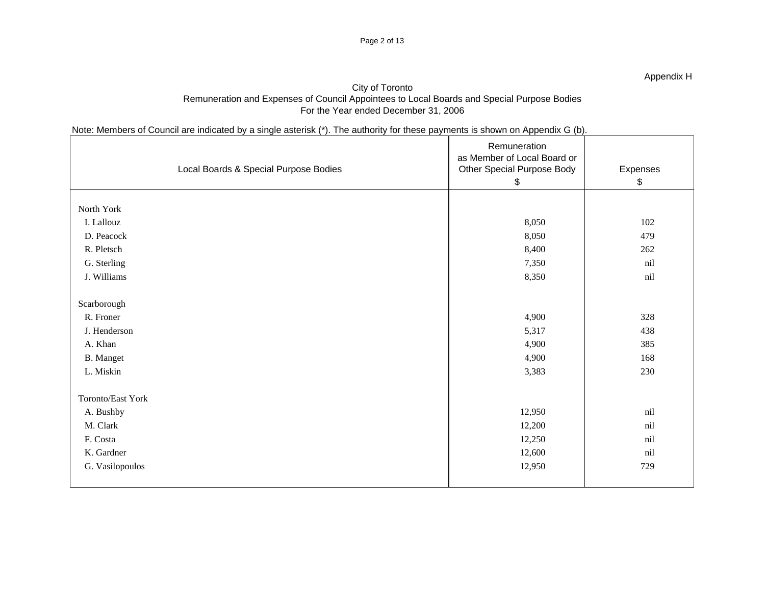# Note: Members of Council are indicated by a single asterisk (\*). The authority for these payments is shown on Appendix G (b).

|                                | Local Boards & Special Purpose Bodies | $\overline{\phantom{a}}$<br>$\overline{\phantom{a}}$<br>Remuneration<br>as Member of Local Board or<br><b>Other Special Purpose Body</b> | Expenses   |
|--------------------------------|---------------------------------------|------------------------------------------------------------------------------------------------------------------------------------------|------------|
|                                |                                       |                                                                                                                                          | - \$       |
| North York                     |                                       |                                                                                                                                          |            |
| I. Lallouz                     |                                       | 8,050                                                                                                                                    | 102        |
| D. Peacock                     |                                       | 8,050                                                                                                                                    | 479        |
| R. Pletsch                     |                                       | 8,400                                                                                                                                    | 262        |
| G. Sterling                    |                                       | 7,350                                                                                                                                    | nil        |
| J. Williams                    |                                       | 8,350                                                                                                                                    | nil        |
|                                |                                       |                                                                                                                                          |            |
| Scarborough                    |                                       |                                                                                                                                          |            |
| R. Froner                      |                                       | 4,900                                                                                                                                    | 328        |
| J. Henderson                   |                                       | 5,317                                                                                                                                    | 438        |
| A. Khan                        |                                       | 4,900                                                                                                                                    | 385        |
| B. Manget                      |                                       | 4,900                                                                                                                                    | 168        |
| L. Miskin                      |                                       | 3,383                                                                                                                                    | 230        |
|                                |                                       |                                                                                                                                          |            |
| Toronto/East York<br>A. Bushby |                                       | 12,950                                                                                                                                   | nil        |
| M. Clark                       |                                       | 12,200                                                                                                                                   | nil        |
|                                |                                       | 12,250                                                                                                                                   | nil        |
| F. Costa                       |                                       |                                                                                                                                          |            |
| K. Gardner                     |                                       | 12,600                                                                                                                                   | nil<br>729 |
| G. Vasilopoulos                |                                       | 12,950                                                                                                                                   |            |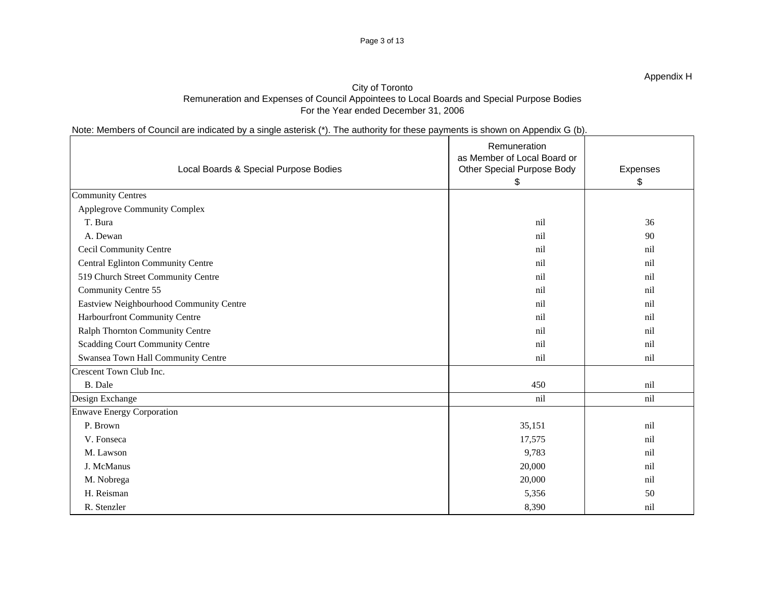# Note: Members of Council are indicated by a single asterisk (\*). The authority for these payments is shown on Appendix G (b).

|                                         | Remuneration<br>as Member of Local Board or |          |
|-----------------------------------------|---------------------------------------------|----------|
| Local Boards & Special Purpose Bodies   | <b>Other Special Purpose Body</b>           | Expenses |
| <b>Community Centres</b>                |                                             |          |
| Applegrove Community Complex            |                                             |          |
| T. Bura                                 | nil                                         | 36       |
| A. Dewan                                | nil                                         | 90       |
| Cecil Community Centre                  |                                             |          |
| Central Eglinton Community Centre       |                                             |          |
| 519 Church Street Community Centre      |                                             |          |
| Community Centre 55                     |                                             |          |
| Eastview Neighbourhood Community Centre | nil                                         |          |
| Harbourfront Community Centre           |                                             |          |
| Ralph Thornton Community Centre         | nil                                         |          |
| Scadding Court Community Centre         |                                             |          |
| Swansea Town Hall Community Centre      | nil                                         | nil      |
| Crescent Town Club Inc.                 |                                             |          |
| B. Dale                                 | 450                                         | nil      |
| Design Exchange                         | nil                                         | nil      |
| <b>Enwave Energy Corporation</b>        |                                             |          |
| P. Brown                                | 35,151                                      | nil      |
| V. Fonseca                              | 17,575                                      | nil      |
| M. Lawson                               | 9,783                                       |          |
| J. McManus                              | 20,000                                      | nil      |
| M. Nobrega                              | 20,000                                      | nil      |
| H. Reisman                              | 5,356                                       | 50       |
| R. Stenzler                             | 8,390                                       | nil      |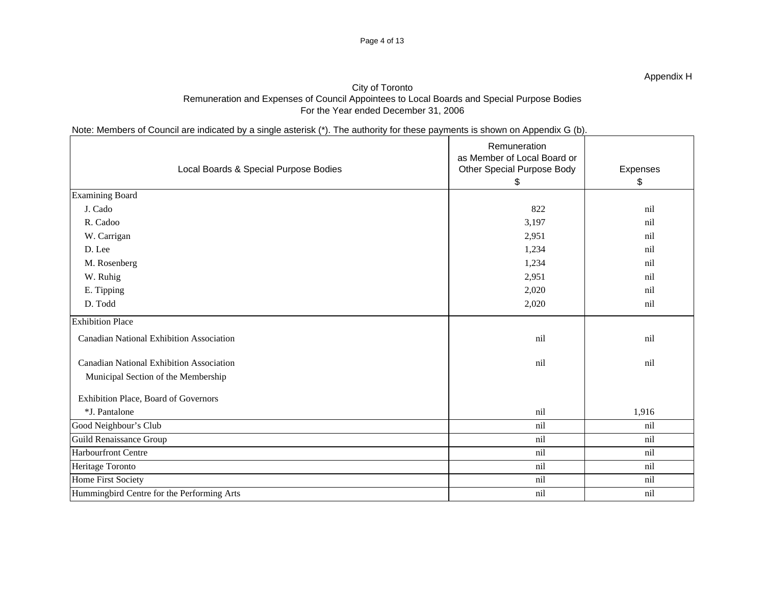# Note: Members of Council are indicated by a single asterisk (\*). The authority for these payments is shown on Appendix G (b).

| Local Boards & Special Purpose Bodies           | Remuneration<br>as Member of Local Board or<br>Other Special Purpose Body | Expenses |
|-------------------------------------------------|---------------------------------------------------------------------------|----------|
| Examining Board                                 |                                                                           |          |
| J. Cado                                         | 822                                                                       | nil      |
| R. Cadoo                                        | 3,197                                                                     | nil      |
| W. Carrigan                                     | 2,951                                                                     | nil      |
| D. Lee                                          | 1,234                                                                     |          |
| M. Rosenberg                                    | 1,234                                                                     | nil      |
| W. Ruhig                                        | 2,951                                                                     |          |
| E. Tipping                                      | 2,020                                                                     | nil      |
| D. Todd                                         | 2,020                                                                     | nil      |
| <b>Exhibition Place</b>                         |                                                                           |          |
| <b>Canadian National Exhibition Association</b> | nil                                                                       | nil      |
| <b>Canadian National Exhibition Association</b> | nil                                                                       | nil      |
| Municipal Section of the Membership             |                                                                           |          |
|                                                 |                                                                           |          |
| Exhibition Place, Board of Governors            |                                                                           | 1,916    |
| *J. Pantalone<br>Good Neighbour's Club          | nil<br>nil                                                                | nil      |
| Guild Renaissance Group                         | nil                                                                       | nil      |
| Harbourfront Centre                             |                                                                           |          |
|                                                 | nil                                                                       | nil      |
| Heritage Toronto                                | nil                                                                       | nil      |
| Home First Society                              | nil                                                                       | nil      |
| Hummingbird Centre for the Performing Arts      | nil                                                                       | nil      |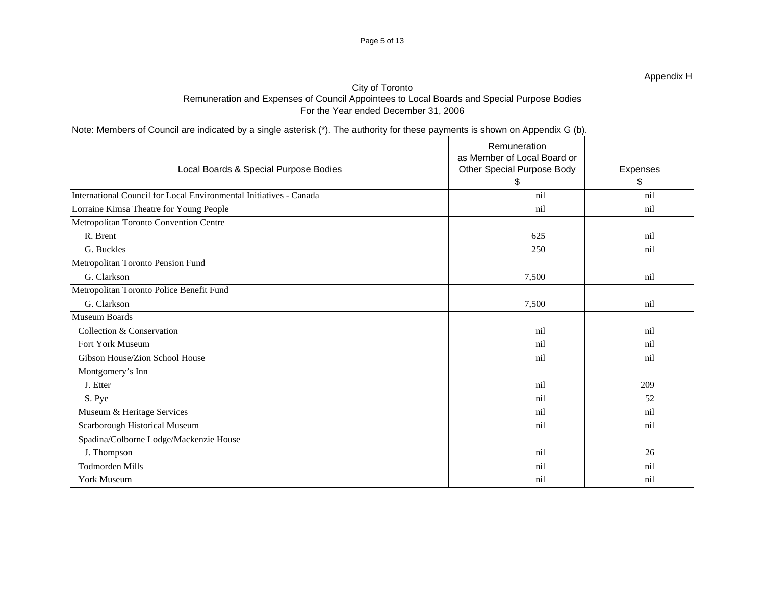Note: Members of Council are indicated by a single asterisk (\*). The authority for these payments is shown on Appendix G (b).

|                                                                    | Remuneration                      |          |
|--------------------------------------------------------------------|-----------------------------------|----------|
|                                                                    | as Member of Local Board or       |          |
| Local Boards & Special Purpose Bodies                              | <b>Other Special Purpose Body</b> | Expenses |
|                                                                    |                                   |          |
| International Council for Local Environmental Initiatives - Canada | nil                               | nil      |
| Lorraine Kimsa Theatre for Young People                            | nil                               | nil      |
| Metropolitan Toronto Convention Centre                             |                                   |          |
| R. Brent                                                           | 625                               | nil      |
| G. Buckles                                                         | 250                               | nil      |
| Metropolitan Toronto Pension Fund                                  |                                   |          |
| G. Clarkson                                                        | 7,500                             | nil      |
| Metropolitan Toronto Police Benefit Fund                           |                                   |          |
| G. Clarkson                                                        | 7,500                             | nil      |
| Museum Boards                                                      |                                   |          |
| Collection & Conservation                                          | nil                               | nil      |
| Fort York Museum                                                   | nil                               | nil      |
| Gibson House/Zion School House                                     | nil                               | nil      |
| Montgomery's Inn                                                   |                                   |          |
| J. Etter                                                           | nil                               | 209      |
| S. Pye                                                             |                                   | 52       |
| Museum & Heritage Services                                         |                                   |          |
| Scarborough Historical Museum                                      |                                   | nil      |
| Spadina/Colborne Lodge/Mackenzie House                             |                                   |          |
| J. Thompson                                                        | nil                               | 26       |
| Todmorden Mills                                                    |                                   |          |
| York Museum                                                        |                                   |          |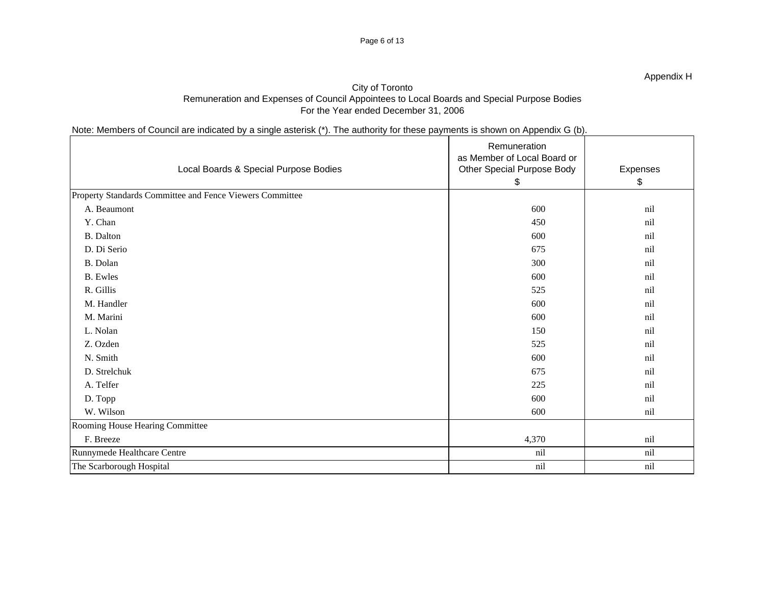# Note: Members of Council are indicated by a single asterisk (\*). The authority for these payments is shown on Appendix G (b).

|                                 |                                                          | Remuneration                                              |          |
|---------------------------------|----------------------------------------------------------|-----------------------------------------------------------|----------|
|                                 | Local Boards & Special Purpose Bodies                    | as Member of Local Board or<br>Other Special Purpose Body | Expenses |
|                                 |                                                          |                                                           |          |
|                                 | Property Standards Committee and Fence Viewers Committee |                                                           |          |
| A. Beaumont                     |                                                          | 600                                                       | nil      |
| Y. Chan                         |                                                          | 450                                                       | nil      |
| <b>B.</b> Dalton                |                                                          | 600                                                       | nil      |
| D. Di Serio                     |                                                          | 675                                                       | ni       |
| B. Dolan                        |                                                          | 300                                                       | nil      |
| <b>B.</b> Ewles                 |                                                          | 600                                                       |          |
| R. Gillis                       |                                                          | 525                                                       |          |
| M. Handler                      |                                                          | 600                                                       | ni       |
| M. Marini                       |                                                          | 600                                                       | nil      |
| L. Nolan                        |                                                          | 150                                                       |          |
| Z. Ozden                        |                                                          | 525                                                       |          |
| N. Smith                        |                                                          | 600                                                       |          |
| D. Strelchuk                    |                                                          | 675                                                       | nil      |
| A. Telfer                       |                                                          | 225                                                       | nil      |
| D. Topp                         |                                                          | 600                                                       | nil      |
| W. Wilson                       |                                                          | 600                                                       | nil      |
| Rooming House Hearing Committee |                                                          |                                                           |          |
| F. Breeze                       |                                                          | 4,370                                                     | nil      |
| Runnymede Healthcare Centre     |                                                          | nil                                                       | nil      |
| The Scarborough Hospital        |                                                          | nil                                                       | nil      |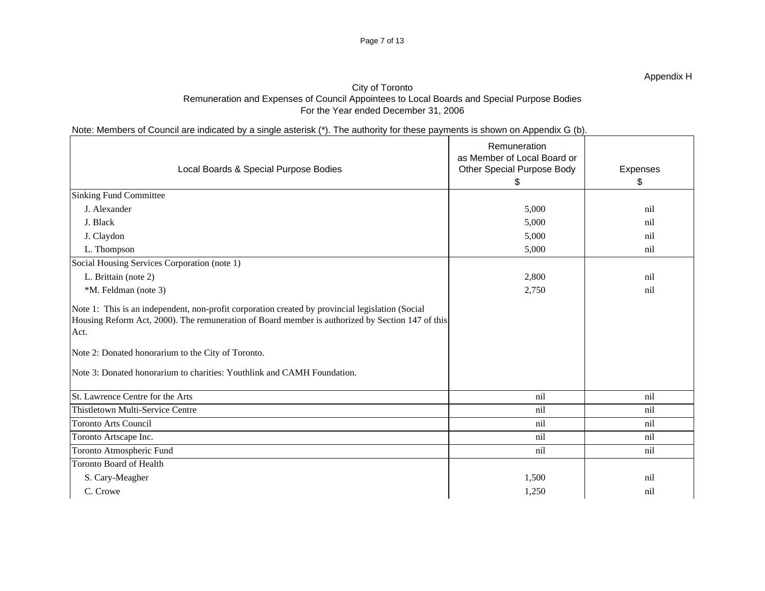# Note: Members of Council are indicated by a single asterisk (\*). The authority for these payments is shown on Appendix G (b).

| Local Boards & Special Purpose Bodies                                                                                                                                                                        | Remuneration<br>as Member of Local Board or<br>Other Special Purpose Body | Expenses |
|--------------------------------------------------------------------------------------------------------------------------------------------------------------------------------------------------------------|---------------------------------------------------------------------------|----------|
| Sinking Fund Committee                                                                                                                                                                                       |                                                                           |          |
| J. Alexander                                                                                                                                                                                                 | 5,000                                                                     | nil      |
| J. Black                                                                                                                                                                                                     | 5,000                                                                     |          |
| J. Claydon                                                                                                                                                                                                   | 5,000                                                                     |          |
| L. Thompson                                                                                                                                                                                                  | 5,000                                                                     | nil      |
| Social Housing Services Corporation (note 1)                                                                                                                                                                 |                                                                           |          |
| L. Brittain (note 2)                                                                                                                                                                                         | 2,800                                                                     | nil      |
| *M. Feldman (note 3)                                                                                                                                                                                         | 2,750                                                                     | nil      |
| Note 1: This is an independent, non-profit corporation created by provincial legislation (Social<br>Housing Reform Act, 2000). The remuneration of Board member is authorized by Section 147 of this<br>Act. |                                                                           |          |
| Note 2: Donated honorarium to the City of Toronto.                                                                                                                                                           |                                                                           |          |
| Note 3: Donated honorarium to charities: Youthlink and CAMH Foundation.                                                                                                                                      |                                                                           |          |
| St. Lawrence Centre for the Arts                                                                                                                                                                             | nil                                                                       | nil      |
| Thistletown Multi-Service Centre                                                                                                                                                                             | nil                                                                       | nil      |
| Toronto Arts Council                                                                                                                                                                                         | nil                                                                       | nil      |
| Toronto Artscape Inc.                                                                                                                                                                                        | nil                                                                       | nil      |
| Toronto Atmospheric Fund                                                                                                                                                                                     | nil                                                                       | nil      |
| Toronto Board of Health                                                                                                                                                                                      |                                                                           |          |
| S. Cary-Meagher                                                                                                                                                                                              | 1,500                                                                     | nil      |
| C. Crowe                                                                                                                                                                                                     | 1,250                                                                     | nil      |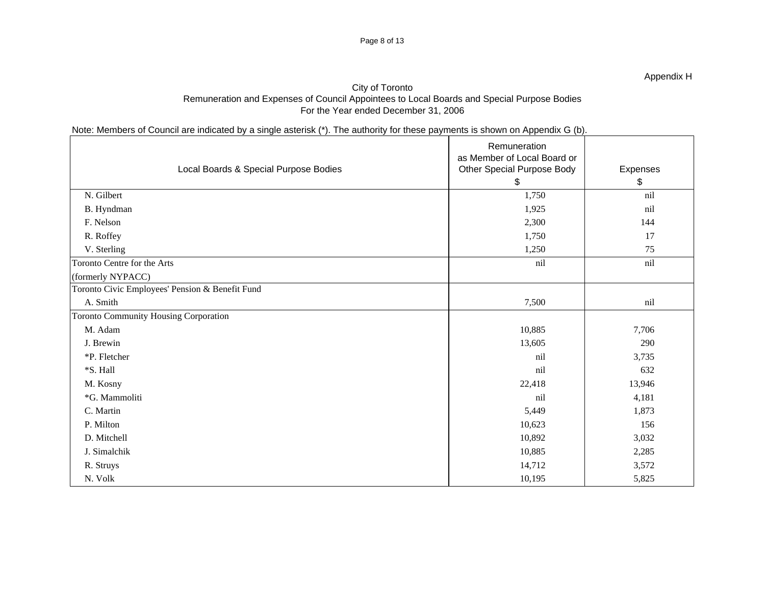Note: Members of Council are indicated by a single asterisk (\*). The authority for these payments is shown on Appendix G (b).

|                                       |                                                 | Remuneration                                              |          |
|---------------------------------------|-------------------------------------------------|-----------------------------------------------------------|----------|
|                                       | Local Boards & Special Purpose Bodies           | as Member of Local Board or<br>Other Special Purpose Body | Expenses |
|                                       |                                                 |                                                           |          |
| N. Gilbert                            |                                                 | 1,750                                                     | nil      |
| B. Hyndman                            |                                                 | 1,925                                                     | nil      |
| F. Nelson                             |                                                 | 2,300                                                     | 144      |
| R. Roffey                             |                                                 | 1,750                                                     | 17       |
| V. Sterling                           |                                                 | 1,250                                                     | 75       |
| Toronto Centre for the Arts           |                                                 | nil                                                       | nil      |
| (formerly NYPACC)                     |                                                 |                                                           |          |
|                                       | Toronto Civic Employees' Pension & Benefit Fund |                                                           |          |
| A. Smith                              |                                                 | 7,500                                                     | nil      |
| Toronto Community Housing Corporation |                                                 |                                                           |          |
| M. Adam                               |                                                 | 10,885                                                    | 7,706    |
| J. Brewin                             |                                                 | 13,605                                                    | 290      |
| *P. Fletcher                          |                                                 | nil                                                       | 3,735    |
| *S. Hall                              |                                                 | nil                                                       | 632      |
| M. Kosny                              |                                                 | 22,418                                                    | 13,946   |
| *G. Mammoliti                         |                                                 | nil                                                       | 4,181    |
| C. Martin                             |                                                 | 5,449                                                     | 1,873    |
| P. Milton                             |                                                 | 10,623                                                    | 156      |
| D. Mitchell                           |                                                 | 10,892                                                    | 3,032    |
| J. Simalchik                          |                                                 | 10,885                                                    | 2,285    |
| R. Struys                             |                                                 | 14,712                                                    | 3,572    |
| N. Volk                               |                                                 | 10,195                                                    | 5,825    |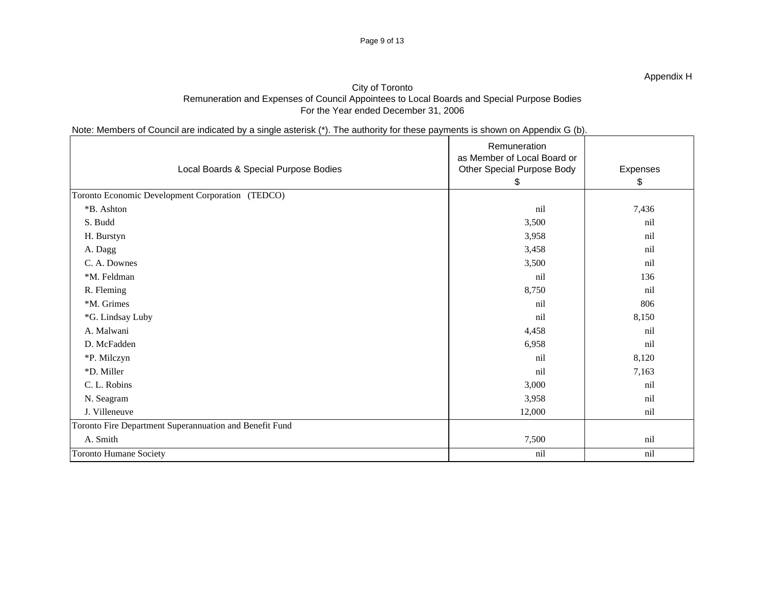# Note: Members of Council are indicated by a single asterisk (\*). The authority for these payments is shown on Appendix G (b).

| ___<br>$\overline{\phantom{a}}$<br>Remuneration |                                                            |
|-------------------------------------------------|------------------------------------------------------------|
| as Member of Local Board or                     |                                                            |
|                                                 | Expenses                                                   |
|                                                 |                                                            |
|                                                 |                                                            |
|                                                 | 7,436                                                      |
|                                                 | nil                                                        |
| 3,958                                           | nil                                                        |
|                                                 | nil                                                        |
| 3,500                                           | nil                                                        |
| nil                                             | 136                                                        |
| 8,750                                           | nil                                                        |
| nil                                             | 806                                                        |
| nil                                             | 8,150                                                      |
| 4,458                                           | nil                                                        |
| 6,958                                           | nil                                                        |
| nil                                             | 8,120                                                      |
| nil                                             | 7,163                                                      |
| 3,000                                           | nil                                                        |
| 3,958                                           | nil                                                        |
| 12,000                                          | nil                                                        |
|                                                 |                                                            |
| 7,500                                           | nil                                                        |
| nil                                             | nil                                                        |
|                                                 | <b>Other Special Purpose Body</b><br>nil<br>3,500<br>3,458 |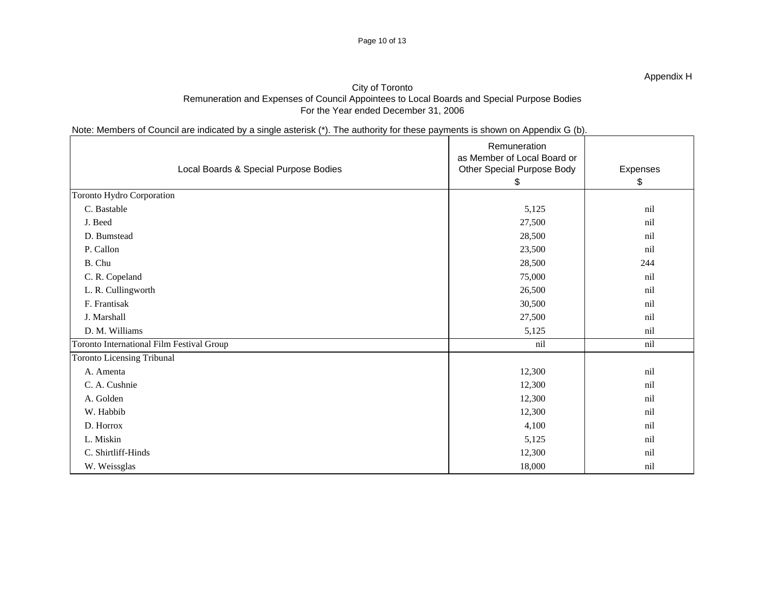# Note: Members of Council are indicated by a single asterisk (\*). The authority for these payments is shown on Appendix G (b).

|                                           |                                       | ___<br>$\overline{\phantom{a}}$<br>Remuneration |          |
|-------------------------------------------|---------------------------------------|-------------------------------------------------|----------|
|                                           |                                       | as Member of Local Board or                     |          |
|                                           | Local Boards & Special Purpose Bodies | Other Special Purpose Body                      | Expenses |
|                                           |                                       |                                                 |          |
| Toronto Hydro Corporation                 |                                       |                                                 |          |
| C. Bastable                               |                                       | 5,125                                           | nil      |
| J. Beed                                   |                                       | 27,500                                          | nil      |
| D. Bumstead                               |                                       | 28,500                                          | nil      |
| P. Callon                                 |                                       | 23,500                                          | nil      |
| B. Chu                                    |                                       | 28,500                                          | 244      |
| C. R. Copeland                            |                                       | 75,000                                          | nil      |
| L. R. Cullingworth                        |                                       | 26,500                                          | nil      |
| F. Frantisak                              |                                       | 30,500                                          | ni       |
| J. Marshall                               |                                       | 27,500                                          | nil      |
| D. M. Williams                            |                                       | 5,125                                           | nil      |
| Toronto International Film Festival Group |                                       | nil                                             | nil      |
| <b>Toronto Licensing Tribunal</b>         |                                       |                                                 |          |
| A. Amenta                                 |                                       | 12,300                                          | nil      |
| C. A. Cushnie                             |                                       | 12,300                                          | nil      |
| A. Golden                                 |                                       | 12,300                                          | nil      |
| W. Habbib                                 |                                       | 12,300                                          | nil      |
| D. Horrox                                 |                                       | 4,100                                           | nil      |
| L. Miskin                                 |                                       | 5,125                                           | nil      |
| C. Shirtliff-Hinds                        |                                       | 12,300                                          |          |
| W. Weissglas                              |                                       | 18,000                                          | 'nï      |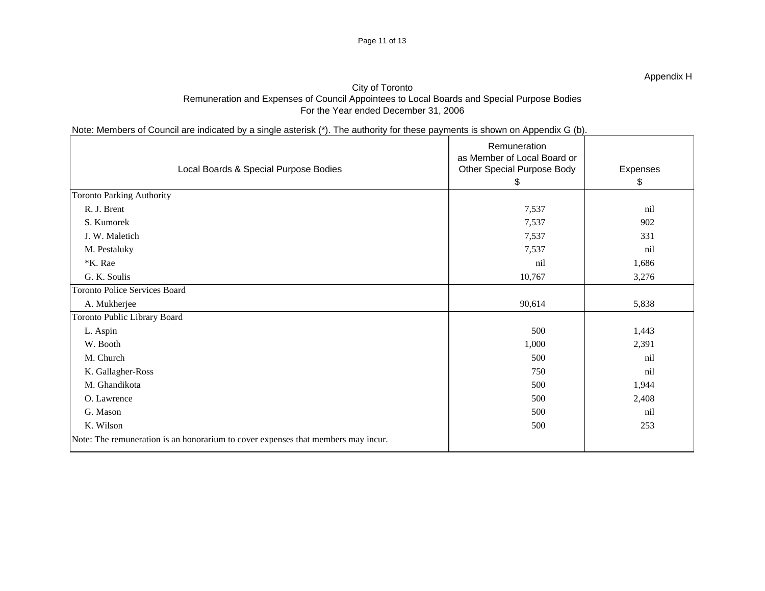# Note: Members of Council are indicated by a single asterisk (\*). The authority for these payments is shown on Appendix G (b).

|                                                                                   | __<br>Remuneration<br>as Member of Local Board or |          |
|-----------------------------------------------------------------------------------|---------------------------------------------------|----------|
| Local Boards & Special Purpose Bodies                                             | <b>Other Special Purpose Body</b>                 | Expenses |
|                                                                                   |                                                   |          |
| Toronto Parking Authority                                                         |                                                   |          |
| R. J. Brent                                                                       | 7,537                                             | nil      |
| S. Kumorek                                                                        | 7,537                                             | 902      |
| J. W. Maletich                                                                    | 7,537                                             | 331      |
| M. Pestaluky                                                                      | 7,537                                             | nil      |
| *K. Rae                                                                           | nil                                               | 1,686    |
| G. K. Soulis                                                                      | 10,767                                            | 3,276    |
| Toronto Police Services Board                                                     |                                                   |          |
| A. Mukherjee                                                                      | 90,614                                            | 5,838    |
| Toronto Public Library Board                                                      |                                                   |          |
| L. Aspin                                                                          | 500                                               | 1,443    |
| W. Booth                                                                          | 1,000                                             | 2,391    |
| M. Church                                                                         | 500                                               | nil      |
| K. Gallagher-Ross                                                                 | 750                                               | nil      |
| M. Ghandikota                                                                     | 500                                               | 1,944    |
| O. Lawrence                                                                       | 500                                               | 2,408    |
| G. Mason                                                                          | 500                                               | nil      |
| K. Wilson                                                                         | 500                                               | 253      |
| Note: The remuneration is an honorarium to cover expenses that members may incur. |                                                   |          |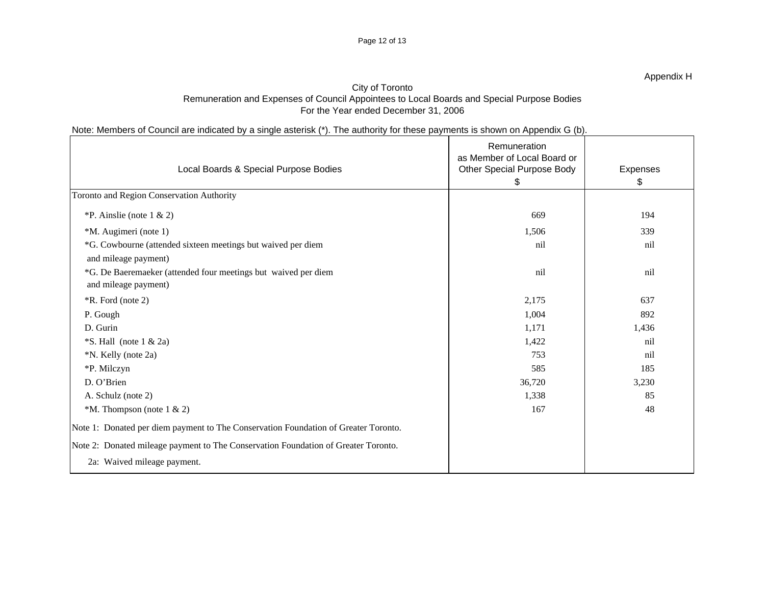# Note: Members of Council are indicated by a single asterisk (\*). The authority for these payments is shown on Appendix G (b).

|                                                                                     | Remuneration                                              |          |  |
|-------------------------------------------------------------------------------------|-----------------------------------------------------------|----------|--|
| Local Boards & Special Purpose Bodies                                               | as Member of Local Board or<br>Other Special Purpose Body | Expenses |  |
|                                                                                     |                                                           |          |  |
| Toronto and Region Conservation Authority                                           |                                                           |          |  |
| *P. Ainslie (note $1 \& 2$ )                                                        | 669                                                       | 194      |  |
| *M. Augimeri (note 1)                                                               | 1,506                                                     | 339      |  |
| *G. Cowbourne (attended sixteen meetings but waived per diem                        | nil                                                       | nil      |  |
| and mileage payment)                                                                |                                                           |          |  |
| *G. De Baeremaeker (attended four meetings but waived per diem                      | nil                                                       | nil      |  |
| and mileage payment)                                                                |                                                           |          |  |
| <i>*R.</i> Ford (note 2)                                                            | 2,175                                                     | 637      |  |
| P. Gough                                                                            | 1,004                                                     | 892      |  |
| D. Gurin                                                                            | 1,171                                                     | 1,436    |  |
| $\cdot$ S. Hall (note 1 & 2a)                                                       | 1,422                                                     | nil      |  |
| *N. Kelly (note 2a)                                                                 | 753                                                       | nil      |  |
| *P. Milczyn                                                                         | 585                                                       | 185      |  |
| D. O'Brien                                                                          | 36,720                                                    | 3,230    |  |
| A. Schulz (note 2)                                                                  | 1,338                                                     | 85       |  |
| $*M$ . Thompson (note 1 & 2)                                                        | 167                                                       | 48       |  |
| Note 1: Donated per diem payment to The Conservation Foundation of Greater Toronto. |                                                           |          |  |
| Note 2: Donated mileage payment to The Conservation Foundation of Greater Toronto.  |                                                           |          |  |
| 2a: Waived mileage payment.                                                         |                                                           |          |  |